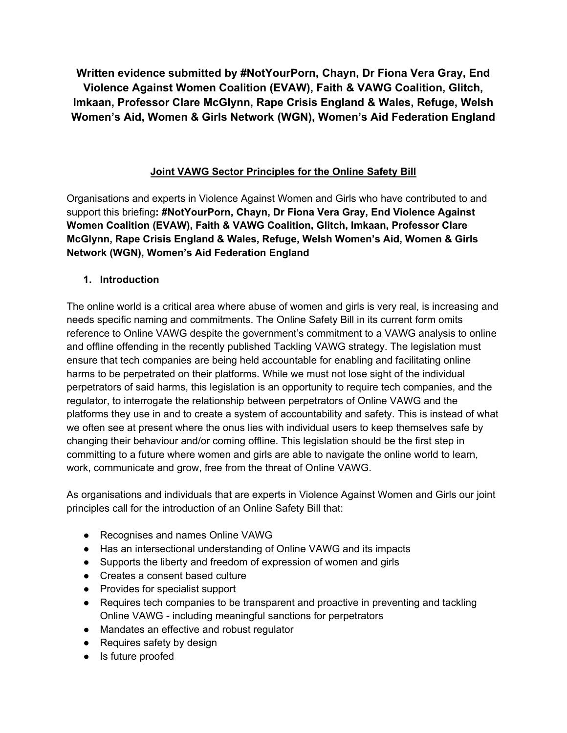**Written evidence submitted by #NotYourPorn, Chayn, Dr Fiona Vera Gray, End Violence Against Women Coalition (EVAW), Faith & VAWG Coalition, Glitch, Imkaan, Professor Clare McGlynn, Rape Crisis England & Wales, Refuge, Welsh Women's Aid, Women & Girls Network (WGN), Women's Aid Federation England**

# **Joint VAWG Sector Principles for the Online Safety Bill**

Organisations and experts in Violence Against Women and Girls who have contributed to and support this briefing**: #NotYourPorn, Chayn, Dr Fiona Vera Gray, End Violence Against Women Coalition (EVAW), Faith & VAWG Coalition, Glitch, Imkaan, Professor Clare McGlynn, Rape Crisis England & Wales, Refuge, Welsh Women's Aid, Women & Girls Network (WGN), Women's Aid Federation England**

# **1. Introduction**

The online world is a critical area where abuse of women and girls is very real, is increasing and needs specific naming and commitments. The Online Safety Bill in its current form omits reference to Online VAWG despite the government's commitment to a VAWG analysis to online and offline offending in the recently published Tackling VAWG strategy. The legislation must ensure that tech companies are being held accountable for enabling and facilitating online harms to be perpetrated on their platforms. While we must not lose sight of the individual perpetrators of said harms, this legislation is an opportunity to require tech companies, and the regulator, to interrogate the relationship between perpetrators of Online VAWG and the platforms they use in and to create a system of accountability and safety. This is instead of what we often see at present where the onus lies with individual users to keep themselves safe by changing their behaviour and/or coming offline. This legislation should be the first step in committing to a future where women and girls are able to navigate the online world to learn, work, communicate and grow, free from the threat of Online VAWG.

As organisations and individuals that are experts in Violence Against Women and Girls our joint principles call for the introduction of an Online Safety Bill that:

- Recognises and names Online VAWG
- Has an intersectional understanding of Online VAWG and its impacts
- Supports the liberty and freedom of expression of women and girls
- Creates a consent based culture
- Provides for specialist support
- Requires tech companies to be transparent and proactive in preventing and tackling Online VAWG - including meaningful sanctions for perpetrators
- Mandates an effective and robust regulator
- Requires safety by design
- Is future proofed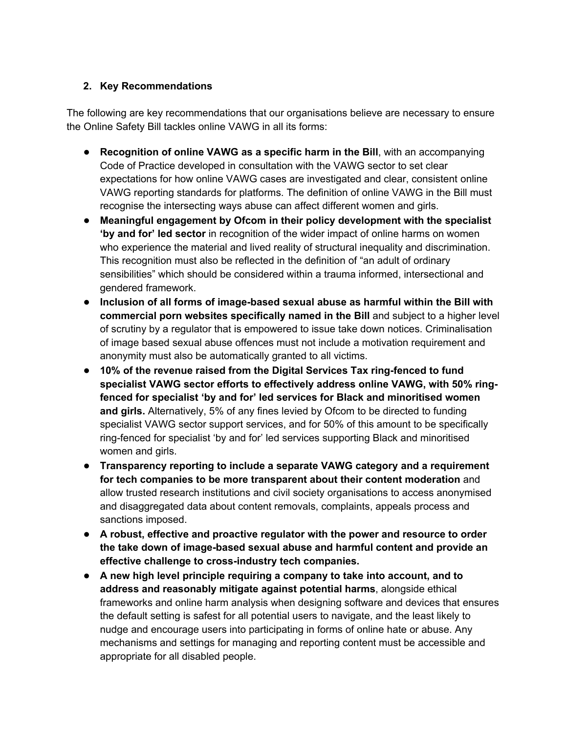## **2. Key Recommendations**

The following are key recommendations that our organisations believe are necessary to ensure the Online Safety Bill tackles online VAWG in all its forms:

- **Recognition of online VAWG as a specific harm in the Bill**, with an accompanying Code of Practice developed in consultation with the VAWG sector to set clear expectations for how online VAWG cases are investigated and clear, consistent online VAWG reporting standards for platforms. The definition of online VAWG in the Bill must recognise the intersecting ways abuse can affect different women and girls.
- **Meaningful engagement by Ofcom in their policy development with the specialist 'by and for' led sector** in recognition of the wider impact of online harms on women who experience the material and lived reality of structural inequality and discrimination. This recognition must also be reflected in the definition of "an adult of ordinary sensibilities" which should be considered within a trauma informed, intersectional and gendered framework.
- **Inclusion of all forms of image-based sexual abuse as harmful within the Bill with commercial porn websites specifically named in the Bill** and subject to a higher level of scrutiny by a regulator that is empowered to issue take down notices. Criminalisation of image based sexual abuse offences must not include a motivation requirement and anonymity must also be automatically granted to all victims.
- **10% of the revenue raised from the Digital Services Tax ring-fenced to fund specialist VAWG sector efforts to effectively address online VAWG, with 50% ringfenced for specialist 'by and for' led services for Black and minoritised women and girls.** Alternatively, 5% of any fines levied by Ofcom to be directed to funding specialist VAWG sector support services, and for 50% of this amount to be specifically ring-fenced for specialist 'by and for' led services supporting Black and minoritised women and girls.
- **Transparency reporting to include a separate VAWG category and a requirement for tech companies to be more transparent about their content moderation** and allow trusted research institutions and civil society organisations to access anonymised and disaggregated data about content removals, complaints, appeals process and sanctions imposed.
- **A robust, effective and proactive regulator with the power and resource to order the take down of image-based sexual abuse and harmful content and provide an effective challenge to cross-industry tech companies.**
- **A new high level principle requiring a company to take into account, and to address and reasonably mitigate against potential harms**, alongside ethical frameworks and online harm analysis when designing software and devices that ensures the default setting is safest for all potential users to navigate, and the least likely to nudge and encourage users into participating in forms of online hate or abuse. Any mechanisms and settings for managing and reporting content must be accessible and appropriate for all disabled people.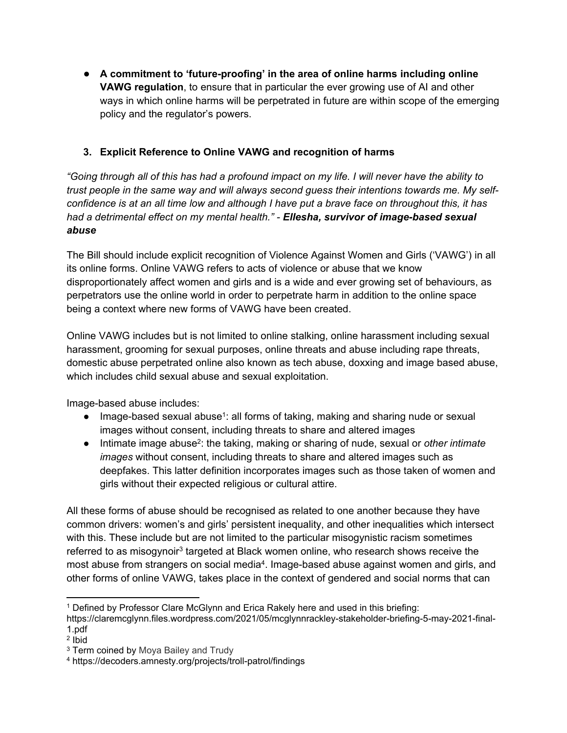● **A commitment to 'future-proofing' in the area of online harms including online VAWG regulation**, to ensure that in particular the ever growing use of AI and other ways in which online harms will be perpetrated in future are within scope of the emerging policy and the regulator's powers.

## **3. Explicit Reference to Online VAWG and recognition of harms**

"Going through all of this has had a profound impact on my life. I will never have the ability to *trust people in the same way and will always second guess their intentions towards me. My self*confidence is at an all time low and although I have put a brave face on throughout this, it has *had a detrimental effect on my mental health." - Ellesha, survivor of image-based sexual abuse*

The Bill should include explicit recognition of Violence Against Women and Girls ('VAWG') in all its online forms. Online VAWG refers to acts of violence or abuse that we know disproportionately affect women and girls and is a wide and ever growing set of behaviours, as perpetrators use the online world in order to perpetrate harm in addition to the online space being a context where new forms of VAWG have been created.

Online VAWG includes but is not limited to online stalking, online harassment including sexual harassment, grooming for sexual purposes, online threats and abuse including rape threats, domestic abuse perpetrated online also known as tech abuse, doxxing and image based abuse, which includes child sexual abuse and sexual exploitation.

Image-based abuse includes:

- Image-based sexual abuse<sup>1</sup>: all forms of taking, making and sharing nude or sexual images without consent, including threats to share and altered images
- Intimate image abuse<sup>2</sup> : the taking, making or sharing of nude, sexual or *other intimate images* without consent, including threats to share and altered images such as deepfakes. This latter definition incorporates images such as those taken of women and girls without their expected religious or cultural attire.

All these forms of abuse should be recognised as related to one another because they have common drivers: women's and girls' persistent inequality, and other inequalities which intersect with this. These include but are not limited to the particular misogynistic racism sometimes referred to as misogynoir<sup>3</sup> targeted at Black women online, who research shows receive the most abuse from strangers on social media<sup>4</sup>. Image-based abuse against women and girls, and other forms of online VAWG, takes place in the context of gendered and social norms that can

<sup>1</sup> Defined by Professor Clare McGlynn and Erica Rakely here and used in this briefing:

https://claremcglynn.files.wordpress.com/2021/05/mcglynnrackley-stakeholder-briefing-5-may-2021-final-1.pdf

<sup>2</sup> Ibid

<sup>3</sup> Term coined by Moya Bailey and Trudy

<sup>4</sup> https://decoders.amnesty.org/projects/troll-patrol/findings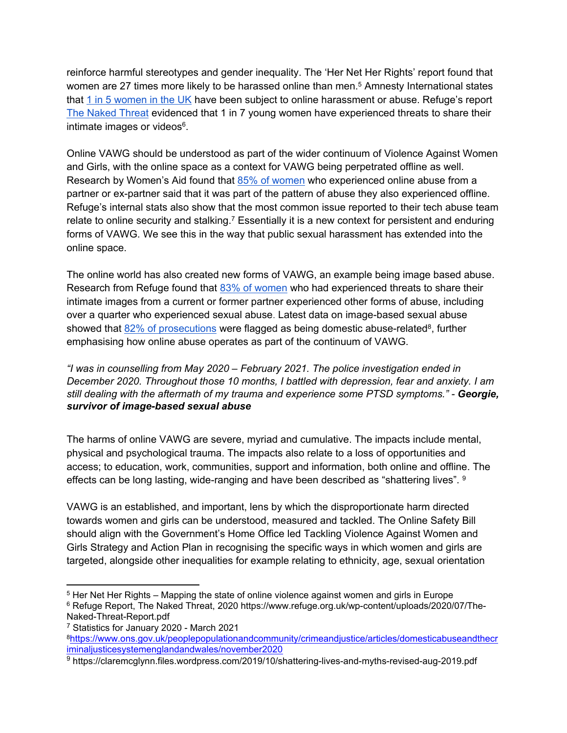reinforce harmful stereotypes and gender inequality. The 'Her Net Her Rights' report found that women are 27 times more likely to be harassed online than men.<sup>5</sup> Amnesty International states that [1](https://www.amnesty.org.uk/online-abuse-women-widespread) [in](https://www.amnesty.org.uk/online-abuse-women-widespread) [5](https://www.amnesty.org.uk/online-abuse-women-widespread) [women](https://www.amnesty.org.uk/online-abuse-women-widespread) [in](https://www.amnesty.org.uk/online-abuse-women-widespread) [the](https://www.amnesty.org.uk/online-abuse-women-widespread) [UK](https://www.amnesty.org.uk/online-abuse-women-widespread) have been subject to online harassment or abuse. Refuge's report [The](https://www.refuge.org.uk/wp-content/uploads/2020/07/The-Naked-Threat-Report.pdf) [Naked](https://www.refuge.org.uk/wp-content/uploads/2020/07/The-Naked-Threat-Report.pdf) [Threat](https://www.refuge.org.uk/wp-content/uploads/2020/07/The-Naked-Threat-Report.pdf) evidenced that 1 in 7 young women have experienced threats to share their intimate images or videos<sup>6</sup>.

Online VAWG should be understood as part of the wider continuum of Violence Against Women and Girls, with the online space as a context for VAWG being perpetrated offline as well. Research by Women's Aid found that [85%](https://www.womensaid.org.uk/information-support/what-is-domestic-abuse/onlinesafety/) [of](https://www.womensaid.org.uk/information-support/what-is-domestic-abuse/onlinesafety/) [women](https://www.womensaid.org.uk/information-support/what-is-domestic-abuse/onlinesafety/) who experienced online abuse from a partner or ex-partner said that it was part of the pattern of abuse they also experienced offline. Refuge's internal stats also show that the most common issue reported to their tech abuse team relate to online security and stalking.<sup>7</sup> Essentially it is a new context for persistent and enduring forms of VAWG. We see this in the way that public sexual harassment has extended into the online space.

The online world has also created new forms of VAWG, an example being image based abuse. Research from Refuge found that [83%](https://www.refuge.org.uk/wp-content/uploads/2020/07/The-Naked-Threat-Report.pdf) [of](https://www.refuge.org.uk/wp-content/uploads/2020/07/The-Naked-Threat-Report.pdf) [women](https://www.refuge.org.uk/wp-content/uploads/2020/07/The-Naked-Threat-Report.pdf) who had experienced threats to share their intimate images from a current or former partner experienced other forms of abuse, including over a quarter who experienced sexual abuse. Latest data on image-based sexual abuse showed that [82%](https://www.ons.gov.uk/peoplepopulationandcommunity/crimeandjustice/articles/domesticabuseandthecriminaljusticesystemenglandandwales/november2020) [of](https://www.ons.gov.uk/peoplepopulationandcommunity/crimeandjustice/articles/domesticabuseandthecriminaljusticesystemenglandandwales/november2020) [prosecutions](https://www.ons.gov.uk/peoplepopulationandcommunity/crimeandjustice/articles/domesticabuseandthecriminaljusticesystemenglandandwales/november2020) were flagged as being domestic abuse-related<sup>8</sup>, further emphasising how online abuse operates as part of the continuum of VAWG.

*"I was in counselling from May 2020 – February 2021. The police investigation ended in December 2020. Throughout those 10 months, I battled with depression, fear and anxiety. I am still dealing with the aftermath of my trauma and experience some PTSD symptoms." - Georgie, survivor of image-based sexual abuse*

The harms of online VAWG are severe, myriad and cumulative. The impacts include mental, physical and psychological trauma. The impacts also relate to a loss of opportunities and access; to education, work, communities, support and information, both online and offline. The effects can be long lasting, wide-ranging and have been described as "shattering lives". <sup>9</sup>

VAWG is an established, and important, lens by which the disproportionate harm directed towards women and girls can be understood, measured and tackled. The Online Safety Bill should align with the Government's Home Office led Tackling Violence Against Women and Girls Strategy and Action Plan in recognising the specific ways in which women and girls are targeted, alongside other inequalities for example relating to ethnicity, age, sexual orientation

<sup>5</sup> Her Net Her Rights – Mapping the state of online violence against women and girls in Europe

<sup>&</sup>lt;sup>6</sup> Refuge Report, The Naked Threat, 2020 https://www.refuge.org.uk/wp-content/uploads/2020/07/The-Naked-Threat-Report.pdf

<sup>7</sup> Statistics for January 2020 - March 2021

<sup>8</sup>[https://www.ons.gov.uk/peoplepopulationandcommunity/crimeandjustice/articles/domesticabuseandthecr](https://www.ons.gov.uk/peoplepopulationandcommunity/crimeandjustice/articles/domesticabuseandthecriminaljusticesystemenglandandwales/november2020) [iminaljusticesystemenglandandwales/november2020](https://www.ons.gov.uk/peoplepopulationandcommunity/crimeandjustice/articles/domesticabuseandthecriminaljusticesystemenglandandwales/november2020)

<sup>9</sup> https://claremcglynn.files.wordpress.com/2019/10/shattering-lives-and-myths-revised-aug-2019.pdf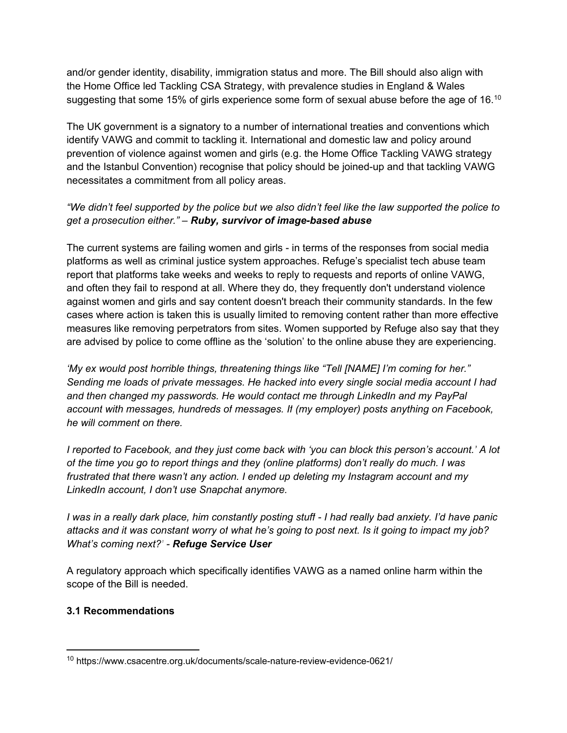and/or gender identity, disability, immigration status and more. The Bill should also align with the Home Office led Tackling CSA Strategy, with prevalence studies in England & Wales suggesting that some 15% of girls experience some form of sexual abuse before the age of 16.<sup>10</sup>

The UK government is a signatory to a number of international treaties and conventions which identify VAWG and commit to tackling it. International and domestic law and policy around prevention of violence against women and girls (e.g. the Home Office Tackling VAWG strategy and the Istanbul Convention) recognise that policy should be joined-up and that tackling VAWG necessitates a commitment from all policy areas.

## "We didn't feel supported by the police but we also didn't feel like the law supported the police to *get a prosecution either." – Ruby, survivor of image-based abuse*

The current systems are failing women and girls - in terms of the responses from social media platforms as well as criminal justice system approaches. Refuge's specialist tech abuse team report that platforms take weeks and weeks to reply to requests and reports of online VAWG, and often they fail to respond at all. Where they do, they frequently don't understand violence against women and girls and say content doesn't breach their community standards. In the few cases where action is taken this is usually limited to removing content rather than more effective measures like removing perpetrators from sites. Women supported by Refuge also say that they are advised by police to come offline as the 'solution' to the online abuse they are experiencing.

*'My ex would post horrible things, threatening things like "Tell [NAME] I'm coming for her." Sending me loads of private messages. He hacked into every single social media account I had and then changed my passwords. He would contact me through LinkedIn and my PayPal account with messages, hundreds of messages. If (my employer) posts anything on Facebook, he will comment on there.*

*I reported to Facebook, and they just come back with 'you can block this person's account.' A lot of the time you go to report things and they (online platforms) don't really do much. I was frustrated that there wasn't any action. I ended up deleting my Instagram account and my LinkedIn account, I don't use Snapchat anymore.*

I was in a really dark place, him constantly posting stuff - I had really bad anxiety. I'd have panic attacks and it was constant worry of what he's going to post next. Is it going to impact my job? *What's coming next?' - Refuge Service User*

A regulatory approach which specifically identifies VAWG as a named online harm within the scope of the Bill is needed.

## **3.1 Recommendations**

<sup>10</sup> https://www.csacentre.org.uk/documents/scale-nature-review-evidence-0621/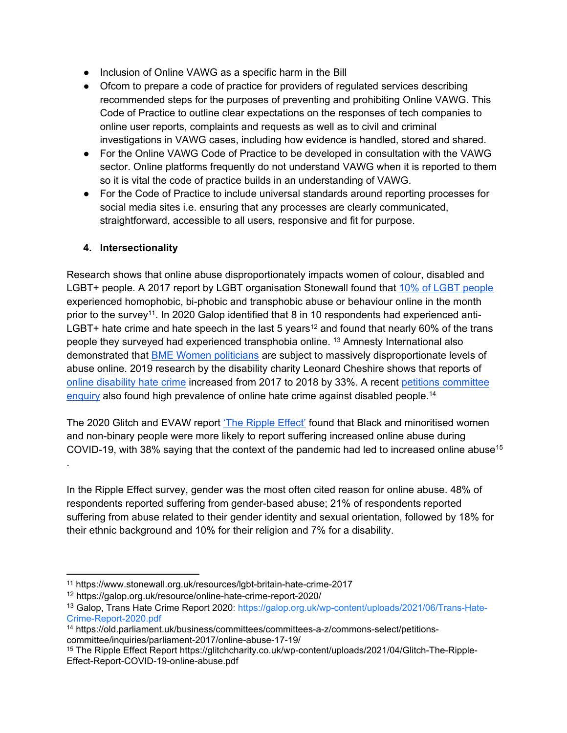- Inclusion of Online VAWG as a specific harm in the Bill
- Ofcom to prepare a code of practice for providers of regulated services describing recommended steps for the purposes of preventing and prohibiting Online VAWG. This Code of Practice to outline clear expectations on the responses of tech companies to online user reports, complaints and requests as well as to civil and criminal investigations in VAWG cases, including how evidence is handled, stored and shared.
- For the Online VAWG Code of Practice to be developed in consultation with the VAWG sector. Online platforms frequently do not understand VAWG when it is reported to them so it is vital the code of practice builds in an understanding of VAWG.
- For the Code of Practice to include universal standards around reporting processes for social media sites i.e. ensuring that any processes are clearly communicated, straightforward, accessible to all users, responsive and fit for purpose.

#### **4. Intersectionality**

Research shows that online abuse disproportionately impacts women of colour, disabled and LGBT+ people. A 2017 report by LGBT organisation Stonewall found that [10%](https://www.stonewall.org.uk/resources/lgbt-britain-hate-crime-2017) [of](https://www.stonewall.org.uk/resources/lgbt-britain-hate-crime-2017) [LGBT](https://www.stonewall.org.uk/resources/lgbt-britain-hate-crime-2017) [people](https://www.stonewall.org.uk/resources/lgbt-britain-hate-crime-2017) experienced homophobic, bi-phobic and transphobic abuse or behaviour online in the month prior to the survey<sup>11</sup>. In 2020 Galop identified that 8 in 10 respondents had experienced anti-LGBT+ hate crime and hate speech in the last 5 years<sup>12</sup> and found that nearly 60% of the trans people they surveyed had experienced transphobia online. <sup>13</sup> Amnesty International also demonstrated that [BME](https://www.amnesty.org.uk/online-violence-women-mps) [Women](https://www.amnesty.org.uk/online-violence-women-mps) [politicians](https://www.amnesty.org.uk/online-violence-women-mps) are subject to massively disproportionate levels of abuse online. 2019 research by the disability charity Leonard Cheshire shows that reports of [online](https://www.leonardcheshire.org/about-us/our-news/press-releases/online-disability-hate-crimes-soar-33) [disability](https://www.leonardcheshire.org/about-us/our-news/press-releases/online-disability-hate-crimes-soar-33) [hate](https://www.leonardcheshire.org/about-us/our-news/press-releases/online-disability-hate-crimes-soar-33) [crime](https://www.leonardcheshire.org/about-us/our-news/press-releases/online-disability-hate-crimes-soar-33) increased from 2017 to 2018 by 33%. A recent [petitions](https://old.parliament.uk/business/committees/committees-a-z/commons-select/petitions-committee/inquiries/parliament-2017/online-abuse-17-19/) [committee](https://old.parliament.uk/business/committees/committees-a-z/commons-select/petitions-committee/inquiries/parliament-2017/online-abuse-17-19/) [enquiry](https://old.parliament.uk/business/committees/committees-a-z/commons-select/petitions-committee/inquiries/parliament-2017/online-abuse-17-19/) also found high prevalence of online hate crime against disabled people.<sup>14</sup>

The 2020 Glitch and EVAW report ['The](https://glitchcharity.co.uk/wp-content/uploads/2021/04/Glitch-The-Ripple-Effect-Report-COVID-19-online-abuse.pdf) [Ripple](https://glitchcharity.co.uk/wp-content/uploads/2021/04/Glitch-The-Ripple-Effect-Report-COVID-19-online-abuse.pdf) [Effect'](https://glitchcharity.co.uk/wp-content/uploads/2021/04/Glitch-The-Ripple-Effect-Report-COVID-19-online-abuse.pdf) found that Black and minoritised women and non-binary people were more likely to report suffering increased online abuse during COVID-19, with 38% saying that the context of the pandemic had led to increased online abuse<sup>15</sup> .

In the Ripple Effect survey, gender was the most often cited reason for online abuse. 48% of respondents reported suffering from gender-based abuse; 21% of respondents reported suffering from abuse related to their gender identity and sexual orientation, followed by 18% for their ethnic background and 10% for their religion and 7% for a disability.

<sup>14</sup> https://old.parliament.uk/business/committees/committees-a-z/commons-select/petitionscommittee/inquiries/parliament-2017/online-abuse-17-19/

<sup>11</sup> https://www.stonewall.org.uk/resources/lgbt-britain-hate-crime-2017

<sup>12</sup> https://galop.org.uk/resource/online-hate-crime-report-2020/

<sup>13</sup> Galop, Trans Hate Crime Report 2020: [https://galop.org.uk/wp-content/uploads/2021/06/Trans-Hate-](https://galop.org.uk/wp-content/uploads/2021/06/Trans-Hate-Crime-Report-2020.pdf)[Crime-Report-2020.pdf](https://galop.org.uk/wp-content/uploads/2021/06/Trans-Hate-Crime-Report-2020.pdf)

<sup>15</sup> The Ripple Effect Report https://glitchcharity.co.uk/wp-content/uploads/2021/04/Glitch-The-Ripple-Effect-Report-COVID-19-online-abuse.pdf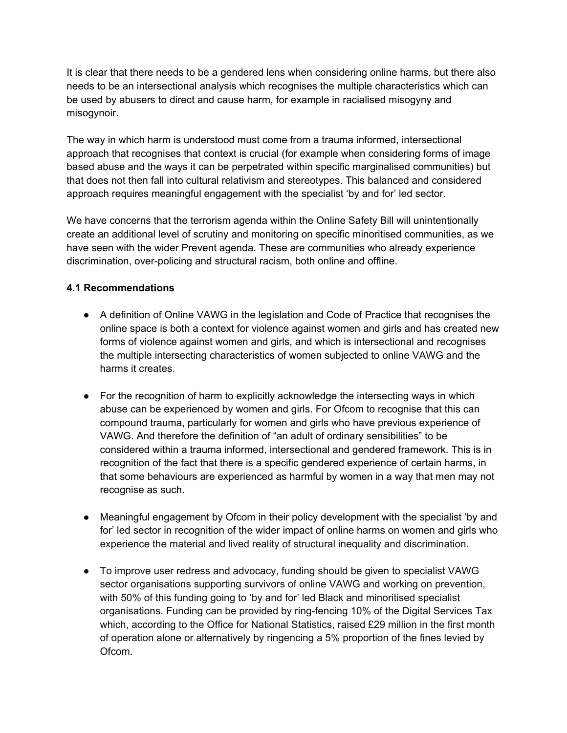It is clear that there needs to be a gendered lens when considering online harms, but there also needs to be an intersectional analysis which recognises the multiple characteristics which can be used by abusers to direct and cause harm, for example in racialised misogyny and misogynoir.

The way in which harm is understood must come from a trauma informed, intersectional approach that recognises that context is crucial (for example when considering forms of image based abuse and the ways it can be perpetrated within specific marginalised communities) but that does not then fall into cultural relativism and stereotypes. This balanced and considered approach requires meaningful engagement with the specialist 'by and for' led sector.

We have concerns that the terrorism agenda within the Online Safety Bill will unintentionally create an additional level of scrutiny and monitoring on specific minoritised communities, as we have seen with the wider Prevent agenda. These are communities who already experience discrimination, over-policing and structural racism, both online and offline.

## **4.1 Recommendations**

- A definition of Online VAWG in the legislation and Code of Practice that recognises the online space is both a context for violence against women and girls and has created new forms of violence against women and girls, and which is intersectional and recognises the multiple intersecting characteristics of women subjected to online VAWG and the harms it creates.
- For the recognition of harm to explicitly acknowledge the intersecting ways in which abuse can be experienced by women and girls. For Ofcom to recognise that this can compound trauma, particularly for women and girls who have previous experience of VAWG. And therefore the definition of "an adult of ordinary sensibilities" to be considered within a trauma informed, intersectional and gendered framework. This is in recognition of the fact that there is a specific gendered experience of certain harms, in that some behaviours are experienced as harmful by women in a way that men may not recognise as such.
- Meaningful engagement by Ofcom in their policy development with the specialist 'by and for' led sector in recognition of the wider impact of online harms on women and girls who experience the material and lived reality of structural inequality and discrimination.
- To improve user redress and advocacy, funding should be given to specialist VAWG sector organisations supporting survivors of online VAWG and working on prevention, with 50% of this funding going to 'by and for' led Black and minoritised specialist organisations. Funding can be provided by ring-fencing 10% of the Digital Services Tax which, according to the Office for National Statistics, raised £29 million in the first month of operation alone or alternatively by ringencing a 5% proportion of the fines levied by Ofcom.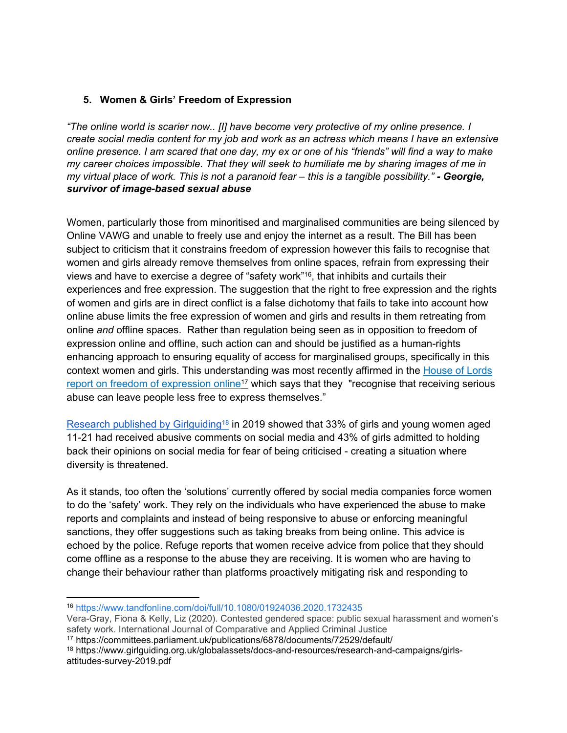#### **5. Women & Girls' Freedom of Expression**

*"The online world is scarier now.. [I] have become very protective of my online presence. I create social media content for my job and work as an actress which means I have an extensive* online presence. I am scared that one day, my ex or one of his "friends" will find a way to make *my career choices impossible. That they will seek to humiliate me by sharing images of me in* my virtual place of work. This is not a paranoid fear - this is a tangible possibility." - Georgie, *survivor of image-based sexual abuse*

Women, particularly those from minoritised and marginalised communities are being silenced by Online VAWG and unable to freely use and enjoy the internet as a result. The Bill has been subject to criticism that it constrains freedom of expression however this fails to recognise that women and girls already remove themselves from online spaces, refrain from expressing their views and have to exercise a degree of "safety work"<sup>16</sup> , that inhibits and curtails their experiences and free expression. The suggestion that the right to free expression and the rights of women and girls are in direct conflict is a false dichotomy that fails to take into account how online abuse limits the free expression of women and girls and results in them retreating from online *and* offline spaces. Rather than regulation being seen as in opposition to freedom of expression online and offline, such action can and should be justified as a human-rights enhancing approach to ensuring equality of access for marginalised groups, specifically in this context women and girls. This understanding was most recently affirmed in the [House](https://committees.parliament.uk/publications/6878/documents/72529/default/) [of](https://committees.parliament.uk/publications/6878/documents/72529/default/) [Lords](https://committees.parliament.uk/publications/6878/documents/72529/default/) [report](https://committees.parliament.uk/publications/6878/documents/72529/default/) [on](https://committees.parliament.uk/publications/6878/documents/72529/default/) [freedom](https://committees.parliament.uk/publications/6878/documents/72529/default/) [of](https://committees.parliament.uk/publications/6878/documents/72529/default/) [expression](https://committees.parliament.uk/publications/6878/documents/72529/default/) [online](https://committees.parliament.uk/publications/6878/documents/72529/default/)<sup>17</sup> which says that they "recognise that receiving serious abuse can leave people less free to express themselves."

[Research](https://www.girlguiding.org.uk/globalassets/docs-and-resources/research-and-campaigns/girls-attitudes-survey-2019.pdf) [published](https://www.girlguiding.org.uk/globalassets/docs-and-resources/research-and-campaigns/girls-attitudes-survey-2019.pdf) [by](https://www.girlguiding.org.uk/globalassets/docs-and-resources/research-and-campaigns/girls-attitudes-survey-2019.pdf) [Girlguiding](https://www.girlguiding.org.uk/globalassets/docs-and-resources/research-and-campaigns/girls-attitudes-survey-2019.pdf)<sup>18</sup> in 2019 showed that 33% of girls and young women aged 11-21 had received abusive comments on social media and 43% of girls admitted to holding back their opinions on social media for fear of being criticised - creating a situation where diversity is threatened.

As it stands, too often the 'solutions' currently offered by social media companies force women to do the 'safety' work. They rely on the individuals who have experienced the abuse to make reports and complaints and instead of being responsive to abuse or enforcing meaningful sanctions, they offer suggestions such as taking breaks from being online. This advice is echoed by the police. Refuge reports that women receive advice from police that they should come offline as a response to the abuse they are receiving. It is women who are having to change their behaviour rather than platforms proactively mitigating risk and responding to

<sup>16</sup> <https://www.tandfonline.com/doi/full/10.1080/01924036.2020.1732435>

Vera-Gray, Fiona & Kelly, Liz (2020). Contested gendered space: public sexual harassment and women's safety work. International Journal of Comparative and Applied Criminal Justice

<sup>17</sup> https://committees.parliament.uk/publications/6878/documents/72529/default/

<sup>18</sup> https://www.girlguiding.org.uk/globalassets/docs-and-resources/research-and-campaigns/girlsattitudes-survey-2019.pdf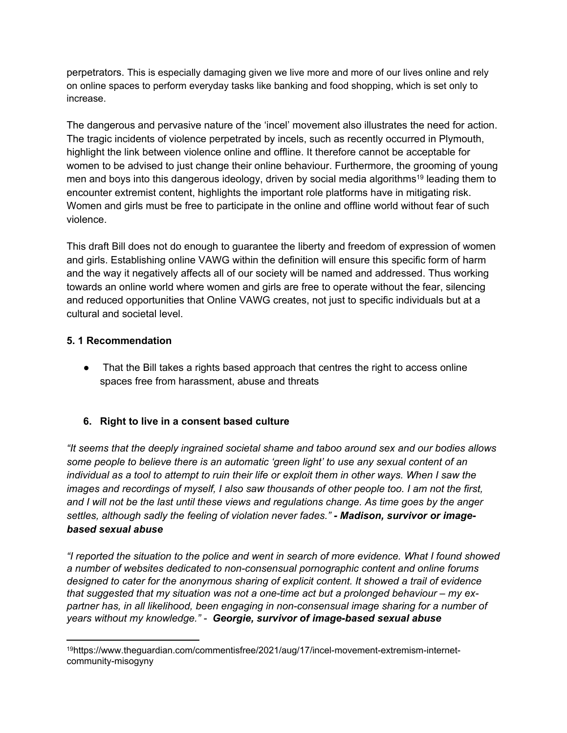perpetrators. This is especially damaging given we live more and more of our lives online and rely on online spaces to perform everyday tasks like banking and food shopping, which is set only to increase.

The dangerous and pervasive nature of the 'incel' movement also illustrates the need for action. The tragic incidents of violence perpetrated by incels, such as recently occurred in Plymouth, highlight the link between violence online and offline. It therefore cannot be acceptable for women to be advised to just change their online behaviour. Furthermore, the grooming of young men and boys into this dangerous ideology, driven by social media algorithms<sup>19</sup> leading them to encounter extremist content, highlights the important role platforms have in mitigating risk. Women and girls must be free to participate in the online and offline world without fear of such violence.

This draft Bill does not do enough to guarantee the liberty and freedom of expression of women and girls. Establishing online VAWG within the definition will ensure this specific form of harm and the way it negatively affects all of our society will be named and addressed. Thus working towards an online world where women and girls are free to operate without the fear, silencing and reduced opportunities that Online VAWG creates, not just to specific individuals but at a cultural and societal level.

## **5. 1 Recommendation**

• That the Bill takes a rights based approach that centres the right to access online spaces free from harassment, abuse and threats

# **6. Right to live in a consent based culture**

*"It seems that the deeply ingrained societal shame and taboo around sex and our bodies allows some people to believe there is an automatic 'green light' to use any sexual content of an* individual as a tool to attempt to ruin their life or exploit them in other ways. When I saw the *images and recordings of myself, I also saw thousands of other people too. I am not the first,* and I will not be the last until these views and regulations change. As time goes by the anger *settles, although sadly the feeling of violation never fades." - Madison, survivor or imagebased sexual abuse*

*"I reported the situation to the police and went in search of more evidence. What I found showed a number of websites dedicated to non-consensual pornographic content and online forums designed to cater for the anonymous sharing of explicit content. It showed a trail of evidence that suggested that my situation was not a one-time act but a prolonged behaviour – my expartner has, in all likelihood, been engaging in non-consensual image sharing for a number of years without my knowledge." - Georgie, survivor of image-based sexual abuse*

<sup>19</sup>https://www.theguardian.com/commentisfree/2021/aug/17/incel-movement-extremism-internetcommunity-misogyny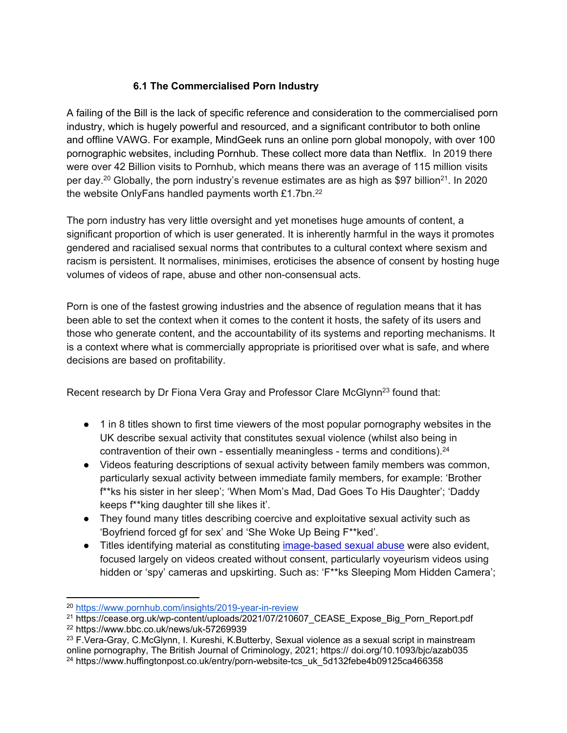# **6.1 The Commercialised Porn Industry**

A failing of the Bill is the lack of specific reference and consideration to the commercialised porn industry, which is hugely powerful and resourced, and a significant contributor to both online and offline VAWG. For example, MindGeek runs an online porn global monopoly, with over 100 pornographic websites, including Pornhub. These collect more data than Netflix. In 2019 there were over 42 Billion visits to Pornhub, which means there was an average of 115 million visits per day.<sup>20</sup> Globally, the porn industry's revenue estimates are as high as \$97 billion<sup>21</sup>. In 2020 the website OnlyFans handled payments worth £1.7bn.<sup>22</sup>

The porn industry has very little oversight and yet monetises huge amounts of content, a significant proportion of which is user generated. It is inherently harmful in the ways it promotes gendered and racialised sexual norms that contributes to a cultural context where sexism and racism is persistent. It normalises, minimises, eroticises the absence of consent by hosting huge volumes of videos of rape, abuse and other non-consensual acts.

Porn is one of the fastest growing industries and the absence of regulation means that it has been able to set the context when it comes to the content it hosts, the safety of its users and those who generate content, and the accountability of its systems and reporting mechanisms. It is a context where what is commercially appropriate is prioritised over what is safe, and where decisions are based on profitability.

Recent research by Dr Fiona Vera Gray and Professor Clare McGlynn<sup>23</sup> found that:

- 1 in 8 titles shown to first time viewers of the most popular pornography websites in the UK describe sexual activity that constitutes sexual violence (whilst also being in contravention of their own - essentially meaningless - terms and conditions).<sup>24</sup>
- Videos featuring descriptions of sexual activity between family members was common, particularly sexual activity between immediate family members, for example: 'Brother f\*\*ks his sister in her sleep'; 'When Mom's Mad, Dad Goes To His Daughter'; 'Daddy keeps f\*\*king daughter till she likes it'.
- They found many titles describing coercive and exploitative sexual activity such as 'Boyfriend forced gf for sex' and 'She Woke Up Being F\*\*ked'.
- Titles identifying material as constituting [image-based](https://www.huffingtonpost.co.uk/entry/upskirting-law-sexual-harassment_uk_5bf7c501e4b088e1a6888e47) [sexual](https://www.huffingtonpost.co.uk/entry/upskirting-law-sexual-harassment_uk_5bf7c501e4b088e1a6888e47) [abuse](https://www.huffingtonpost.co.uk/entry/upskirting-law-sexual-harassment_uk_5bf7c501e4b088e1a6888e47) were also evident, focused largely on videos created without consent, particularly voyeurism videos using hidden or 'spy' cameras and upskirting. Such as: 'F\*\*ks Sleeping Mom Hidden Camera';

<sup>20</sup> <https://www.pornhub.com/insights/2019-year-in-review>

<sup>21</sup> https://cease.org.uk/wp-content/uploads/2021/07/210607\_CEASE\_Expose\_Big\_Porn\_Report.pdf

<sup>22</sup> https://www.bbc.co.uk/news/uk-57269939

<sup>&</sup>lt;sup>23</sup> F.Vera-Gray, C.McGlynn, I. Kureshi, K.Butterby, Sexual violence as a sexual script in mainstream online pornography, The British Journal of Criminology, 2021; https:// doi.org/10.1093/bjc/azab035 <sup>24</sup> https://www.huffingtonpost.co.uk/entry/porn-website-tcs\_uk\_5d132febe4b09125ca466358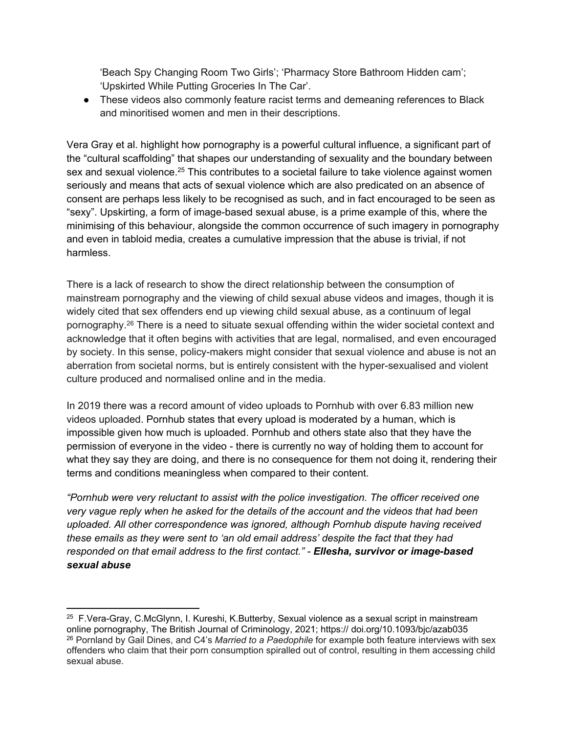'Beach Spy Changing Room Two Girls'; 'Pharmacy Store Bathroom Hidden cam'; 'Upskirted While Putting Groceries In The Car'.

● These videos also commonly feature racist terms and demeaning references to Black and minoritised women and men in their descriptions.

Vera Gray et al. highlight how pornography is a powerful cultural influence, a significant part of the "cultural scaffolding" that shapes our understanding of sexuality and the boundary between sex and sexual violence.<sup>25</sup> This contributes to a societal failure to take violence against women seriously and means that acts of sexual violence which are also predicated on an absence of consent are perhaps less likely to be recognised as such, and in fact encouraged to be seen as "sexy". Upskirting, a form of image-based sexual abuse, is a prime example of this, where the minimising of this behaviour, alongside the common occurrence of such imagery in pornography and even in tabloid media, creates a cumulative impression that the abuse is trivial, if not harmless.

There is a lack of research to show the direct relationship between the consumption of mainstream pornography and the viewing of child sexual abuse videos and images, though it is widely cited that sex offenders end up viewing child sexual abuse, as a continuum of legal pornography.<sup>26</sup> There is a need to situate sexual offending within the wider societal context and acknowledge that it often begins with activities that are legal, normalised, and even encouraged by society. In this sense, policy-makers might consider that sexual violence and abuse is not an aberration from societal norms, but is entirely consistent with the hyper-sexualised and violent culture produced and normalised online and in the media.

In 2019 there was a record amount of video uploads to Pornhub with over 6.83 million new videos uploaded. Pornhub states that every upload is moderated by a human, which is impossible given how much is uploaded. Pornhub and others state also that they have the permission of everyone in the video - there is currently no way of holding them to account for what they say they are doing, and there is no consequence for them not doing it, rendering their terms and conditions meaningless when compared to their content.

*"Pornhub were very reluctant to assist with the police investigation. The officer received one very vague reply when he asked for the details of the account and the videos that had been uploaded. All other correspondence was ignored, although Pornhub dispute having received these emails as they were sent to 'an old email address' despite the fact that they had responded on that email address to the first contact." - Ellesha, survivor or image-based sexual abuse*

<sup>&</sup>lt;sup>25</sup> F.Vera-Gray, C.McGlynn, I. Kureshi, K.Butterby, Sexual violence as a sexual script in mainstream online pornography, The British Journal of Criminology, 2021; https:// doi.org/10.1093/bjc/azab035 <sup>26</sup> Pornland by Gail Dines, and C4's *Married to a Paedophile* for example both feature interviews with sex offenders who claim that their porn consumption spiralled out of control, resulting in them accessing child sexual abuse.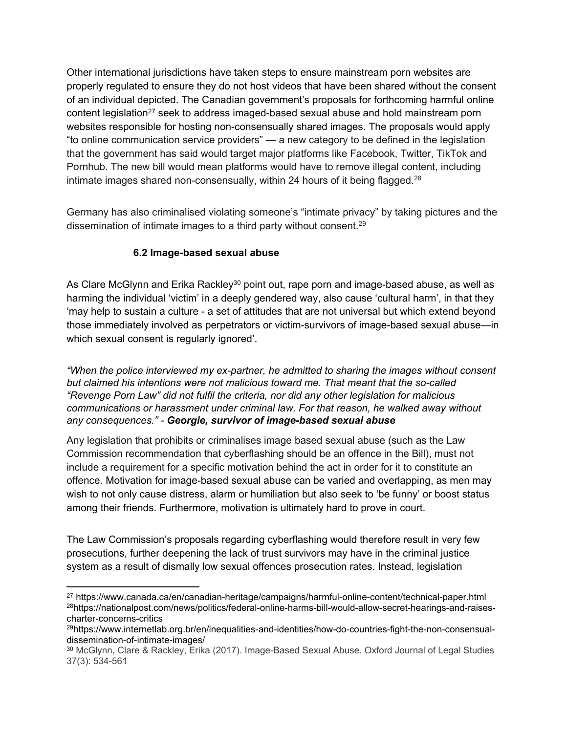Other international jurisdictions have taken steps to ensure mainstream porn websites are properly regulated to ensure they do not host videos that have been shared without the consent of an individual depicted. The Canadian government's proposals for forthcoming harmful online content legislation<sup>27</sup> seek to address imaged-based sexual abuse and hold mainstream porn websites responsible for hosting non-consensually shared images. The proposals would apply "to online communication service providers" — a new category to be defined in the legislation that the government has said would target major platforms like Facebook, Twitter, TikTok and Pornhub. The new bill would mean platforms would have to remove illegal content, including intimate images shared non-consensually, within 24 hours of it being flagged.<sup>28</sup>

Germany has also criminalised violating someone's "intimate privacy" by taking pictures and the dissemination of intimate images to a third party without consent.<sup>29</sup>

## **6.2 Image-based sexual abuse**

As Clare McGlynn and Erika Rackley<sup>30</sup> point out, rape porn and image-based abuse, as well as harming the individual 'victim' in a deeply gendered way, also cause 'cultural harm', in that they 'may help to sustain a culture - a set of attitudes that are not universal but which extend beyond those immediately involved as perpetrators or victim-survivors of image-based sexual abuse—in which sexual consent is regularly ignored'.

*"When the police interviewed my ex-partner, he admitted to sharing the images without consent but claimed his intentions were not malicious toward me. That meant that the so-called "Revenge Porn Law" did not fulfil the criteria, nor did any other legislation for malicious communications or harassment under criminal law. For that reason, he walked away without any consequences." - Georgie, survivor of image-based sexual abuse*

Any legislation that prohibits or criminalises image based sexual abuse (such as the Law Commission recommendation that cyberflashing should be an offence in the Bill), must not include a requirement for a specific motivation behind the act in order for it to constitute an offence. Motivation for image-based sexual abuse can be varied and overlapping, as men may wish to not only cause distress, alarm or humiliation but also seek to 'be funny' or boost status among their friends. Furthermore, motivation is ultimately hard to prove in court.

The Law Commission's proposals regarding cyberflashing would therefore result in very few prosecutions, further deepening the lack of trust survivors may have in the criminal justice system as a result of dismally low sexual offences prosecution rates. Instead, legislation

<sup>27</sup> https://www.canada.ca/en/canadian-heritage/campaigns/harmful-online-content/technical-paper.html 28https://nationalpost.com/news/politics/federal-online-harms-bill-would-allow-secret-hearings-and-raisescharter-concerns-critics

<sup>29</sup>https://www.internetlab.org.br/en/inequalities-and-identities/how-do-countries-fight-the-non-consensualdissemination-of-intimate-images/

<sup>30</sup> McGlynn, Clare & Rackley, Erika (2017). Image-Based Sexual Abuse. Oxford Journal of Legal Studies 37(3): 534-561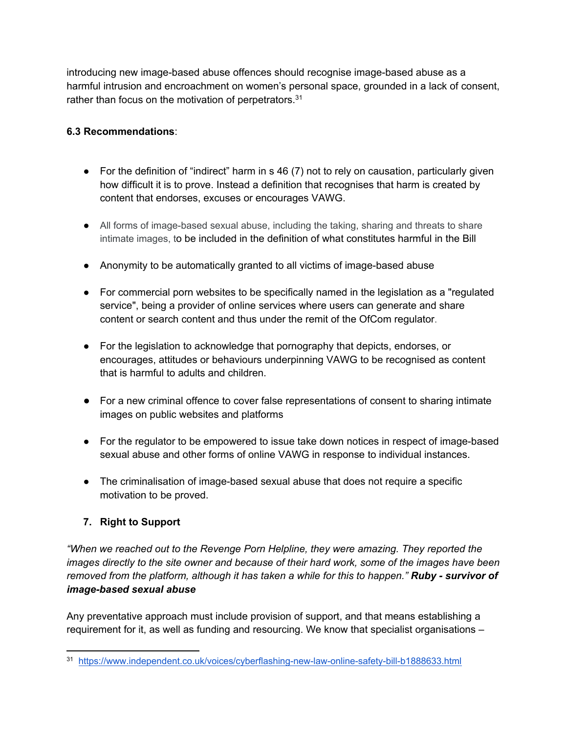introducing new image-based abuse offences should recognise image-based abuse as a harmful intrusion and encroachment on women's personal space, grounded in a lack of consent, rather than focus on the motivation of perpetrators.<sup>31</sup>

## **6.3 Recommendations**:

- $\bullet$  For the definition of "indirect" harm in s 46 (7) not to rely on causation, particularly given how difficult it is to prove. Instead a definition that recognises that harm is created by content that endorses, excuses or encourages VAWG.
- All forms of image-based sexual abuse, including the taking, sharing and threats to share intimate images, to be included in the definition of what constitutes harmful in the Bill
- Anonymity to be automatically granted to all victims of image-based abuse
- For commercial porn websites to be specifically named in the legislation as a "regulated service", being a provider of online services where users can generate and share content or search content and thus under the remit of the OfCom regulator.
- For the legislation to acknowledge that pornography that depicts, endorses, or encourages, attitudes or behaviours underpinning VAWG to be recognised as content that is harmful to adults and children.
- For a new criminal offence to cover false representations of consent to sharing intimate images on public websites and platforms
- For the regulator to be empowered to issue take down notices in respect of image-based sexual abuse and other forms of online VAWG in response to individual instances.
- The criminalisation of image-based sexual abuse that does not require a specific motivation to be proved.

# **7. Right to Support**

*"When we reached out to the Revenge Porn Helpline, they were amazing. They reported the images directly to the site owner and because of their hard work, some of the images have been removed from the platform, although it has taken a while for this to happen." Ruby - survivor of image-based sexual abuse*

Any preventative approach must include provision of support, and that means establishing a requirement for it, as well as funding and resourcing. We know that specialist organisations –

<sup>31</sup> <https://www.independent.co.uk/voices/cyberflashing-new-law-online-safety-bill-b1888633.html>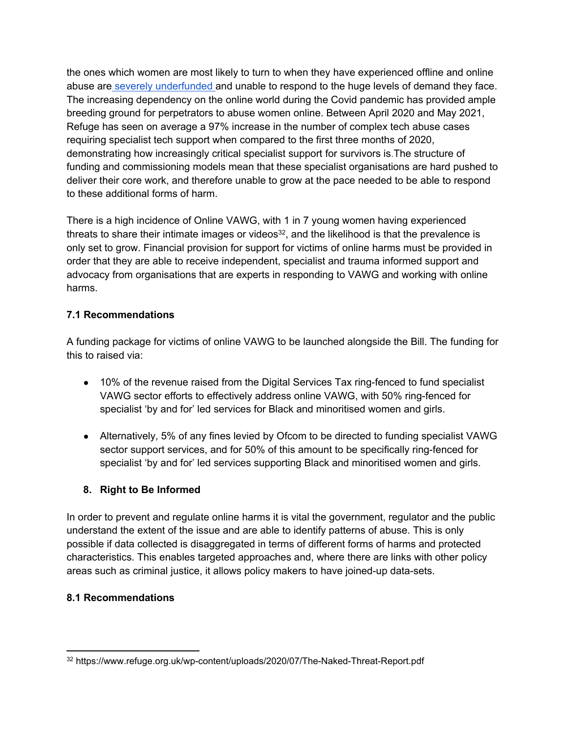the ones which women are most likely to turn to when they have experienced offline and online abuse are [severely](https://wbg.org.uk/analysis/2018-wbg-briefing-violence-against-women-and-girls/) [underfunded](https://wbg.org.uk/analysis/2018-wbg-briefing-violence-against-women-and-girls/) [a](https://wbg.org.uk/analysis/2018-wbg-briefing-violence-against-women-and-girls/)nd unable to respond to the huge levels of demand they face. The increasing dependency on the online world during the Covid pandemic has provided ample breeding ground for perpetrators to abuse women online. Between April 2020 and May 2021, Refuge has seen on average a 97% increase in the number of complex tech abuse cases requiring specialist tech support when compared to the first three months of 2020, demonstrating how increasingly critical specialist support for survivors is.The structure of funding and commissioning models mean that these specialist organisations are hard pushed to deliver their core work, and therefore unable to grow at the pace needed to be able to respond to these additional forms of harm.

There is a high incidence of Online VAWG, with 1 in 7 young women having experienced threats to share their intimate images or videos<sup>32</sup>, and the likelihood is that the prevalence is only set to grow. Financial provision for support for victims of online harms must be provided in order that they are able to receive independent, specialist and trauma informed support and advocacy from organisations that are experts in responding to VAWG and working with online harms.

## **7.1 Recommendations**

A funding package for victims of online VAWG to be launched alongside the Bill. The funding for this to raised via:

- 10% of the revenue raised from the Digital Services Tax ring-fenced to fund specialist VAWG sector efforts to effectively address online VAWG, with 50% ring-fenced for specialist 'by and for' led services for Black and minoritised women and girls.
- Alternatively, 5% of any fines levied by Ofcom to be directed to funding specialist VAWG sector support services, and for 50% of this amount to be specifically ring-fenced for specialist 'by and for' led services supporting Black and minoritised women and girls.

# **8. Right to Be Informed**

In order to prevent and regulate online harms it is vital the government, regulator and the public understand the extent of the issue and are able to identify patterns of abuse. This is only possible if data collected is disaggregated in terms of different forms of harms and protected characteristics. This enables targeted approaches and, where there are links with other policy areas such as criminal justice, it allows policy makers to have joined-up data-sets.

## **8.1 Recommendations**

<sup>32</sup> https://www.refuge.org.uk/wp-content/uploads/2020/07/The-Naked-Threat-Report.pdf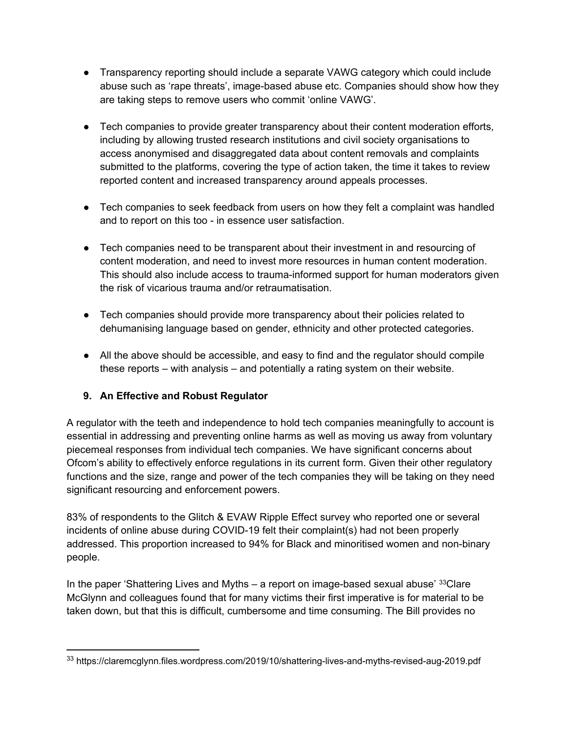- Transparency reporting should include a separate VAWG category which could include abuse such as 'rape threats', image-based abuse etc. Companies should show how they are taking steps to remove users who commit 'online VAWG'.
- Tech companies to provide greater transparency about their content moderation efforts, including by allowing trusted research institutions and civil society organisations to access anonymised and disaggregated data about content removals and complaints submitted to the platforms, covering the type of action taken, the time it takes to review reported content and increased transparency around appeals processes.
- Tech companies to seek feedback from users on how they felt a complaint was handled and to report on this too - in essence user satisfaction.
- Tech companies need to be transparent about their investment in and resourcing of content moderation, and need to invest more resources in human content moderation. This should also include access to trauma-informed support for human moderators given the risk of vicarious trauma and/or retraumatisation.
- Tech companies should provide more transparency about their policies related to dehumanising language based on gender, ethnicity and other protected categories.
- All the above should be accessible, and easy to find and the regulator should compile these reports – with analysis – and potentially a rating system on their website.

# **9. An Effective and Robust Regulator**

A regulator with the teeth and independence to hold tech companies meaningfully to account is essential in addressing and preventing online harms as well as moving us away from voluntary piecemeal responses from individual tech companies. We have significant concerns about Ofcom's ability to effectively enforce regulations in its current form. Given their other regulatory functions and the size, range and power of the tech companies they will be taking on they need significant resourcing and enforcement powers.

83% of respondents to the Glitch & EVAW Ripple Effect survey who reported one or several incidents of online abuse during COVID-19 felt their complaint(s) had not been properly addressed. This proportion increased to 94% for Black and minoritised women and non-binary people.

In the paper 'Shattering Lives and Myths – a report on image-based sexual abuse'  $33$ Clare McGlynn and colleagues found that for many victims their first imperative is for material to be taken down, but that this is difficult, cumbersome and time consuming. The Bill provides no

<sup>33</sup> https://claremcglynn.files.wordpress.com/2019/10/shattering-lives-and-myths-revised-aug-2019.pdf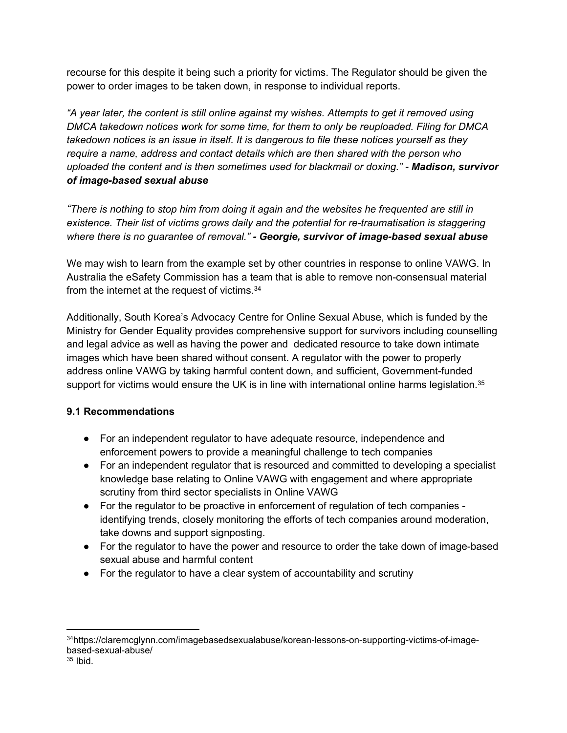recourse for this despite it being such a priority for victims. The Regulator should be given the power to order images to be taken down, in response to individual reports.

*"A year later, the content is still online against my wishes. Attempts to get it removed using DMCA takedown notices work for some time, for them to only be reuploaded. Filing for DMCA takedown notices is an issue in itself. It is dangerous to file these notices yourself as they require a name, address and contact details which are then shared with the person who uploaded the content and is then sometimes used for blackmail or doxing." - Madison, survivor of image-based sexual abuse*

"There is nothing to stop him from doing it again and the websites he frequented are still in *existence. Their list of victims grows daily and the potential for re-traumatisation is staggering where there is no guarantee of removal." - Georgie, survivor of image-based sexual abuse*

We may wish to learn from the example set by other countries in response to online VAWG. In Australia the eSafety Commission has a team that is able to remove non-consensual material from the internet at the request of victims.<sup>34</sup>

Additionally, South Korea's Advocacy Centre for Online Sexual Abuse, which is funded by the Ministry for Gender Equality provides comprehensive support for survivors including counselling and legal advice as well as having the power and dedicated resource to take down intimate images which have been shared without consent. A regulator with the power to properly address online VAWG by taking harmful content down, and sufficient, Government-funded support for victims would ensure the UK is in line with international online harms legislation.<sup>35</sup>

# **9.1 Recommendations**

- For an independent regulator to have adequate resource, independence and enforcement powers to provide a meaningful challenge to tech companies
- For an independent regulator that is resourced and committed to developing a specialist knowledge base relating to Online VAWG with engagement and where appropriate scrutiny from third sector specialists in Online VAWG
- For the regulator to be proactive in enforcement of regulation of tech companies identifying trends, closely monitoring the efforts of tech companies around moderation, take downs and support signposting.
- For the regulator to have the power and resource to order the take down of image-based sexual abuse and harmful content
- For the regulator to have a clear system of accountability and scrutiny

<sup>34</sup>https://claremcglynn.com/imagebasedsexualabuse/korean-lessons-on-supporting-victims-of-imagebased-sexual-abuse/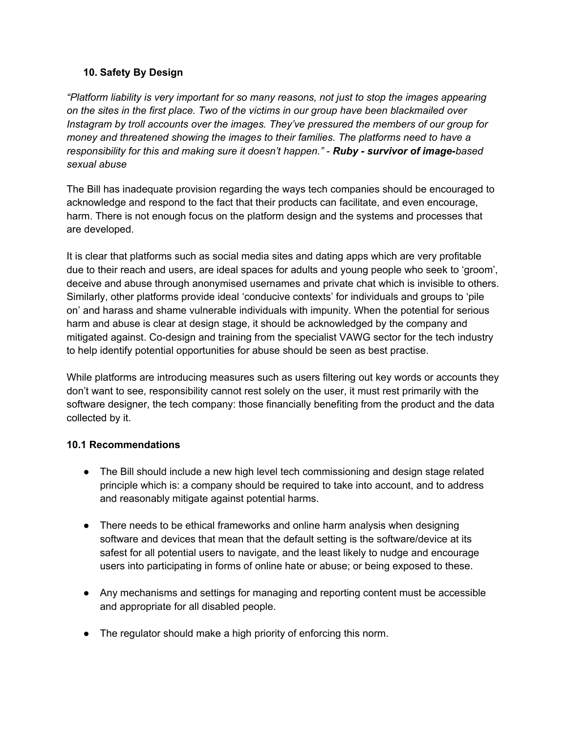## **10. Safety By Design**

*"Platform liability is very important for so many reasons, not just to stop the images appearing on the sites in the first place. Two of the victims in our group have been blackmailed over Instagram by troll accounts over the images. They've pressured the members of our group for money and threatened showing the images to their families. The platforms need to have a responsibility for this and making sure it doesn't happen." - Ruby - survivor of image-based sexual abuse*

The Bill has inadequate provision regarding the ways tech companies should be encouraged to acknowledge and respond to the fact that their products can facilitate, and even encourage, harm. There is not enough focus on the platform design and the systems and processes that are developed.

It is clear that platforms such as social media sites and dating apps which are very profitable due to their reach and users, are ideal spaces for adults and young people who seek to 'groom', deceive and abuse through anonymised usernames and private chat which is invisible to others. Similarly, other platforms provide ideal 'conducive contexts' for individuals and groups to 'pile on' and harass and shame vulnerable individuals with impunity. When the potential for serious harm and abuse is clear at design stage, it should be acknowledged by the company and mitigated against. Co-design and training from the specialist VAWG sector for the tech industry to help identify potential opportunities for abuse should be seen as best practise.

While platforms are introducing measures such as users filtering out key words or accounts they don't want to see, responsibility cannot rest solely on the user, it must rest primarily with the software designer, the tech company: those financially benefiting from the product and the data collected by it.

## **10.1 Recommendations**

- The Bill should include a new high level tech commissioning and design stage related principle which is: a company should be required to take into account, and to address and reasonably mitigate against potential harms.
- There needs to be ethical frameworks and online harm analysis when designing software and devices that mean that the default setting is the software/device at its safest for all potential users to navigate, and the least likely to nudge and encourage users into participating in forms of online hate or abuse; or being exposed to these.
- Any mechanisms and settings for managing and reporting content must be accessible and appropriate for all disabled people.
- The regulator should make a high priority of enforcing this norm.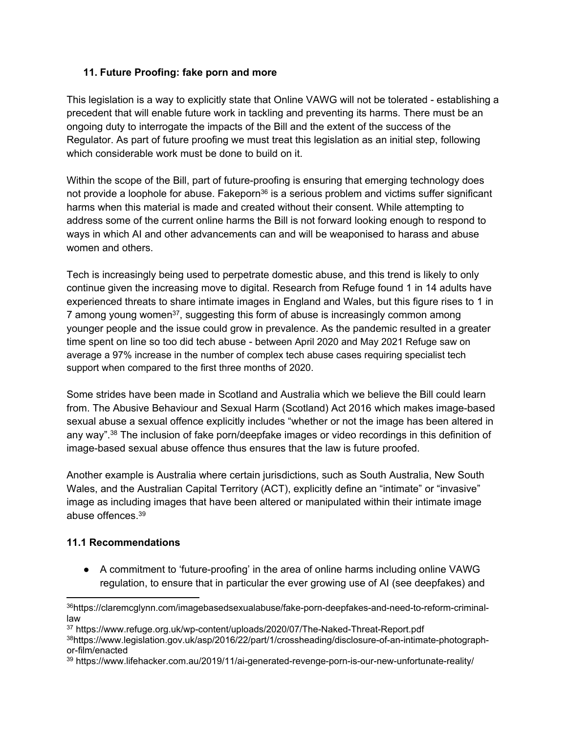## **11. Future Proofing: fake porn and more**

This legislation is a way to explicitly state that Online VAWG will not be tolerated - establishing a precedent that will enable future work in tackling and preventing its harms. There must be an ongoing duty to interrogate the impacts of the Bill and the extent of the success of the Regulator. As part of future proofing we must treat this legislation as an initial step, following which considerable work must be done to build on it.

Within the scope of the Bill, part of future-proofing is ensuring that emerging technology does not provide a loophole for abuse. Fakeporn<sup>36</sup> is a serious problem and victims suffer significant harms when this material is made and created without their consent. While attempting to address some of the current online harms the Bill is not forward looking enough to respond to ways in which AI and other advancements can and will be weaponised to harass and abuse women and others.

Tech is increasingly being used to perpetrate domestic abuse, and this trend is likely to only continue given the increasing move to digital. R[esearch](https://www.refuge.org.uk/wp-content/uploads/2020/07/The-Naked-Threat-Report.pdf) [from](https://www.refuge.org.uk/wp-content/uploads/2020/07/The-Naked-Threat-Report.pdf) [Refuge](https://www.refuge.org.uk/wp-content/uploads/2020/07/The-Naked-Threat-Report.pdf) [found](https://www.refuge.org.uk/wp-content/uploads/2020/07/The-Naked-Threat-Report.pdf) 1 in 14 adults have experienced threats to share intimate images in England and Wales, but this figure rises to 1 in 7 among young women<sup>37</sup>, suggesting this form of abuse is increasingly common among younger people and the issue could grow in prevalence. As the pandemic resulted in a greater time spent on line so too did tech abuse - between April 2020 and May 2021 Refuge saw on average a 97% increase in the number of complex tech abuse cases requiring specialist tech support when compared to the first three months of 2020.

Some strides have been made in Scotland and Australia which we believe the Bill could learn from. The Abusive Behaviour and Sexual Harm (Scotland) Act 2016 which makes image-based sexual abuse a sexual offence explicitly includes "whether or not the image has been altered in any way".<sup>38</sup> The inclusion of fake porn/deepfake images or video recordings in this definition of image-based sexual abuse offence thus ensures that the law is future proofed.

Another example is Australia where certain jurisdictions, such as South Australia, New South Wales, and the Australian Capital Territory (ACT), explicitly define an "intimate" or "invasive" image as including images that have been altered or manipulated within their intimate image abuse offences.<sup>39</sup>

## **11.1 Recommendations**

● A commitment to 'future-proofing' in the area of online harms including online VAWG regulation, to ensure that in particular the ever growing use of AI (see deepfakes) and

<sup>36</sup>https://claremcglynn.com/imagebasedsexualabuse/fake-porn-deepfakes-and-need-to-reform-criminallaw

<sup>37</sup> https://www.refuge.org.uk/wp-content/uploads/2020/07/The-Naked-Threat-Report.pdf

<sup>38</sup>https://www.legislation.gov.uk/asp/2016/22/part/1/crossheading/disclosure-of-an-intimate-photographor-film/enacted

<sup>39</sup> https://www.lifehacker.com.au/2019/11/ai-generated-revenge-porn-is-our-new-unfortunate-reality/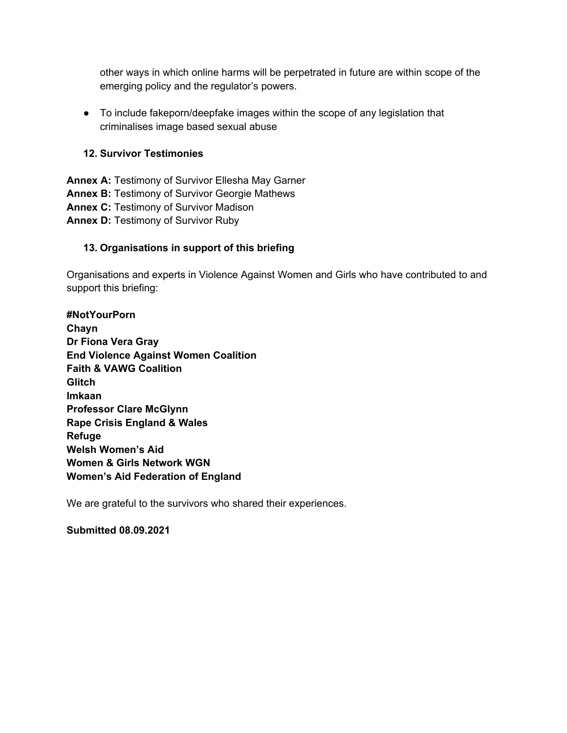other ways in which online harms will be perpetrated in future are within scope of the emerging policy and the regulator's powers.

● To include fakeporn/deepfake images within the scope of any legislation that criminalises image based sexual abuse

#### **12. Survivor Testimonies**

**Annex A:** Testimony of Survivor Ellesha May Garner **Annex B:** Testimony of Survivor Georgie Mathews **Annex C:** Testimony of Survivor Madison **Annex D:** Testimony of Survivor Ruby

#### **13. Organisations in support of this briefing**

Organisations and experts in Violence Against Women and Girls who have contributed to and support this briefing:

**#NotYourPorn Chayn Dr Fiona Vera Gray End Violence Against Women Coalition Faith & VAWG Coalition Glitch Imkaan Professor Clare McGlynn Rape Crisis England & Wales Refuge Welsh Women's Aid Women & Girls Network WGN Women's Aid Federation of England**

We are grateful to the survivors who shared their experiences.

**Submitted 08.09.2021**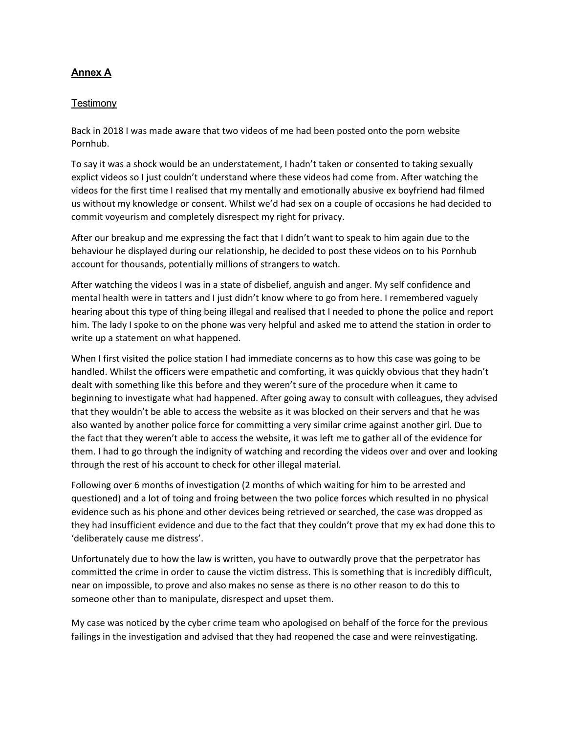#### **Annex A**

#### **Testimony**

Back in 2018 I was made aware that two videos of me had been posted onto the porn website Pornhub.

To say it was a shock would be an understatement, I hadn't taken or consented to taking sexually explict videos so I just couldn't understand where these videos had come from. After watching the videos for the first time I realised that my mentally and emotionally abusive ex boyfriend had filmed us without my knowledge or consent. Whilst we'd had sex on a couple of occasions he had decided to commit voyeurism and completely disrespect my right for privacy.

After our breakup and me expressing the fact that I didn't want to speak to him again due to the behaviour he displayed during our relationship, he decided to post these videos on to his Pornhub account for thousands, potentially millions of strangers to watch.

After watching the videos I was in a state of disbelief, anguish and anger. My self confidence and mental health were in tatters and I just didn't know where to go from here. I remembered vaguely hearing about this type of thing being illegal and realised that I needed to phone the police and report him. The lady I spoke to on the phone was very helpful and asked me to attend the station in order to write up a statement on what happened.

When I first visited the police station I had immediate concerns as to how this case was going to be handled. Whilst the officers were empathetic and comforting, it was quickly obvious that they hadn't dealt with something like this before and they weren't sure of the procedure when it came to beginning to investigate what had happened. After going away to consult with colleagues, they advised that they wouldn't be able to access the website as it was blocked on their servers and that he was also wanted by another police force for committing a very similar crime against another girl. Due to the fact that they weren't able to access the website, it was left me to gather all of the evidence for them. I had to go through the indignity of watching and recording the videos over and over and looking through the rest of his account to check for other illegal material.

Following over 6 months of investigation (2 months of which waiting for him to be arrested and questioned) and a lot of toing and froing between the two police forces which resulted in no physical evidence such as his phone and other devices being retrieved or searched, the case was dropped as they had insufficient evidence and due to the fact that they couldn't prove that my ex had done this to 'deliberately cause me distress'.

Unfortunately due to how the law is written, you have to outwardly prove that the perpetrator has committed the crime in order to cause the victim distress. This is something that is incredibly difficult, near on impossible, to prove and also makes no sense as there is no other reason to do this to someone other than to manipulate, disrespect and upset them.

My case was noticed by the cyber crime team who apologised on behalf of the force for the previous failings in the investigation and advised that they had reopened the case and were reinvestigating.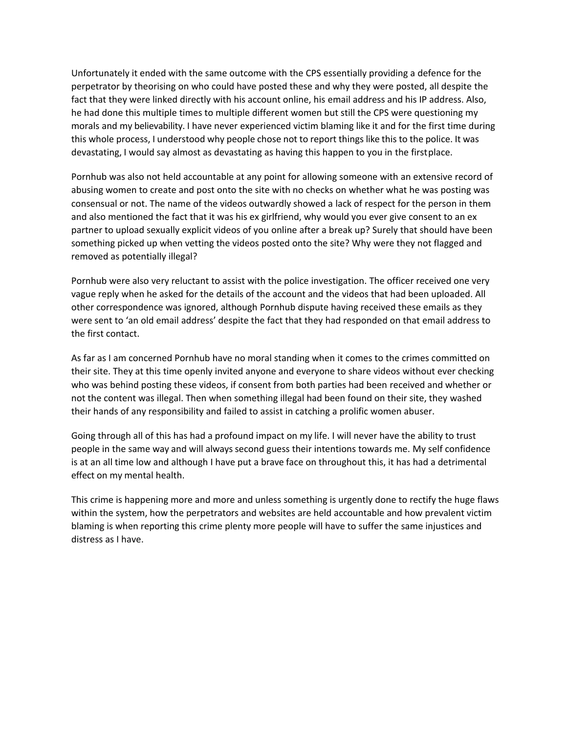Unfortunately it ended with the same outcome with the CPS essentially providing a defence for the perpetrator by theorising on who could have posted these and why they were posted, all despite the fact that they were linked directly with his account online, his email address and his IP address. Also, he had done this multiple times to multiple different women but still the CPS were questioning my morals and my believability. I have never experienced victim blaming like it and for the first time during this whole process, I understood why people chose not to report things like this to the police. It was devastating, I would say almost as devastating as having this happen to you in the firstplace.

Pornhub was also not held accountable at any point for allowing someone with an extensive record of abusing women to create and post onto the site with no checks on whether what he was posting was consensual or not. The name of the videos outwardly showed a lack of respect for the person in them and also mentioned the fact that it was his ex girlfriend, why would you ever give consent to an ex partner to upload sexually explicit videos of you online after a break up? Surely that should have been something picked up when vetting the videos posted onto the site? Why were they not flagged and removed as potentially illegal?

Pornhub were also very reluctant to assist with the police investigation. The officer received one very vague reply when he asked for the details of the account and the videos that had been uploaded. All other correspondence was ignored, although Pornhub dispute having received these emails as they were sent to 'an old email address' despite the fact that they had responded on that email address to the first contact.

As far as I am concerned Pornhub have no moral standing when it comes to the crimes committed on their site. They at this time openly invited anyone and everyone to share videos without ever checking who was behind posting these videos, if consent from both parties had been received and whether or not the content was illegal. Then when something illegal had been found on their site, they washed their hands of any responsibility and failed to assist in catching a prolific women abuser.

Going through all of this has had a profound impact on my life. I will never have the ability to trust people in the same way and will always second guess their intentions towards me. My self confidence is at an all time low and although I have put a brave face on throughout this, it has had a detrimental effect on my mental health.

This crime is happening more and more and unless something is urgently done to rectify the huge flaws within the system, how the perpetrators and websites are held accountable and how prevalent victim blaming is when reporting this crime plenty more people will have to suffer the same injustices and distress as I have.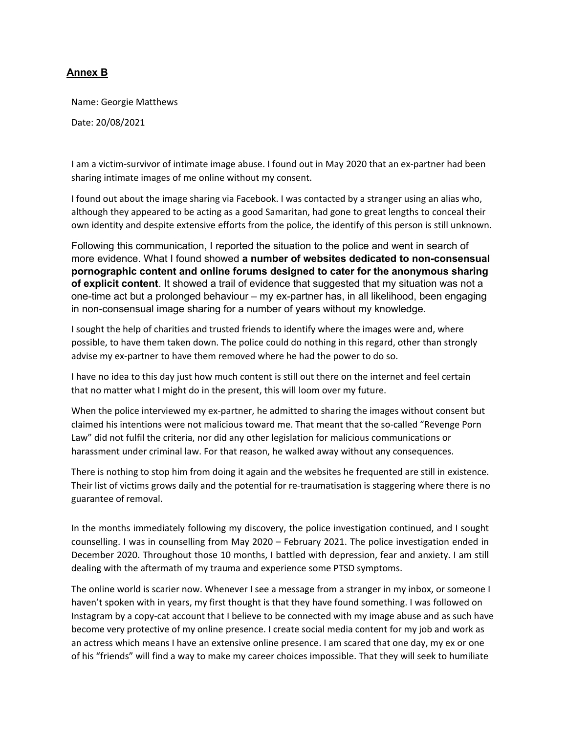#### **Annex B**

Name: Georgie Matthews

Date: 20/08/2021

I am a victim-survivor of intimate image abuse. I found out in May 2020 that an ex-partner had been sharing intimate images of me online without my consent.

I found out about the image sharing via Facebook. I was contacted by a stranger using an alias who, although they appeared to be acting as a good Samaritan, had gone to great lengths to conceal their own identity and despite extensive efforts from the police, the identify of this person is still unknown.

Following this communication, I reported the situation to the police and went in search of more evidence. What I found showed **a number of websites dedicated to non-consensual pornographic content and online forums designed to cater for the anonymous sharing of explicit content**. It showed a trail of evidence that suggested that my situation was not a one-time act but a prolonged behaviour – my ex-partner has, in all likelihood, been engaging in non-consensual image sharing for a number of years without my knowledge.

I sought the help of charities and trusted friends to identify where the images were and, where possible, to have them taken down. The police could do nothing in this regard, other than strongly advise my ex-partner to have them removed where he had the power to do so.

I have no idea to this day just how much content is still out there on the internet and feel certain that no matter what I might do in the present, this will loom over my future.

When the police interviewed my ex-partner, he admitted to sharing the images without consent but claimed his intentions were not malicious toward me. That meant that the so-called "Revenge Porn Law" did not fulfil the criteria, nor did any other legislation for malicious communications or harassment under criminal law. For that reason, he walked away without any consequences.

There is nothing to stop him from doing it again and the websites he frequented are still in existence. Their list of victims grows daily and the potential for re-traumatisation is staggering where there is no guarantee of removal.

In the months immediately following my discovery, the police investigation continued, and I sought counselling. I was in counselling from May 2020 – February 2021. The police investigation ended in December 2020. Throughout those 10 months, I battled with depression, fear and anxiety. I am still dealing with the aftermath of my trauma and experience some PTSD symptoms.

The online world is scarier now. Whenever I see a message from a stranger in my inbox, or someone I haven't spoken with in years, my first thought is that they have found something. I was followed on Instagram by a copy-cat account that I believe to be connected with my image abuse and as such have become very protective of my online presence. I create social media content for my job and work as an actress which means I have an extensive online presence. I am scared that one day, my ex or one of his "friends" will find a way to make my career choices impossible. That they will seek to humiliate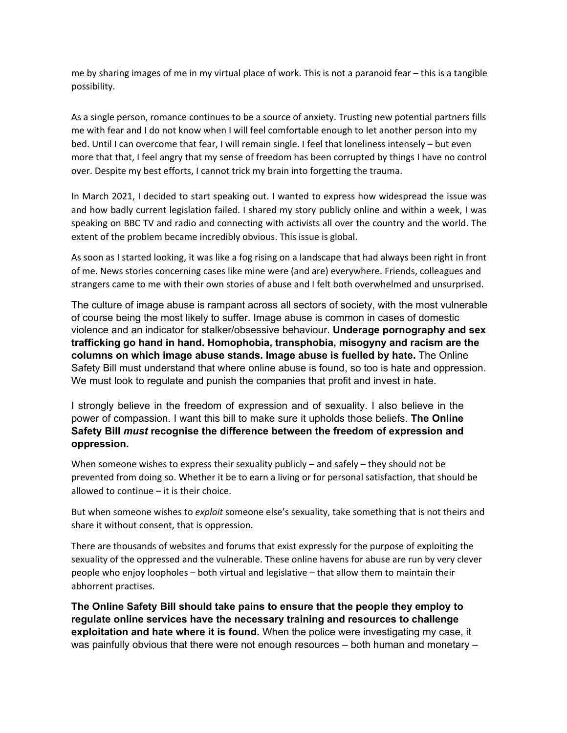me by sharing images of me in my virtual place of work. This is not a paranoid fear – this is a tangible possibility.

As a single person, romance continues to be a source of anxiety. Trusting new potential partners fills me with fear and I do not know when I will feel comfortable enough to let another person into my bed. Until I can overcome that fear, I will remain single. I feel that loneliness intensely – but even more that that, I feel angry that my sense of freedom has been corrupted by things I have no control over. Despite my best efforts, I cannot trick my brain into forgetting the trauma.

In March 2021, I decided to start speaking out. I wanted to express how widespread the issue was and how badly current legislation failed. I shared my story publicly online and within a week, I was speaking on BBC TV and radio and connecting with activists all over the country and the world. The extent of the problem became incredibly obvious. This issue is global.

As soon as I started looking, it was like a fog rising on a landscape that had always been right in front of me. News stories concerning cases like mine were (and are) everywhere. Friends, colleagues and strangers came to me with their own stories of abuse and I felt both overwhelmed and unsurprised.

The culture of image abuse is rampant across all sectors of society, with the most vulnerable of course being the most likely to suffer. Image abuse is common in cases of domestic violence and an indicator for stalker/obsessive behaviour. **Underage pornography and sex trafficking go hand in hand. Homophobia, transphobia, misogyny and racism are the columns on which image abuse stands. Image abuse is fuelled by hate.** The Online Safety Bill must understand that where online abuse is found, so too is hate and oppression. We must look to regulate and punish the companies that profit and invest in hate.

I strongly believe in the freedom of expression and of sexuality. I also believe in the power of compassion. I want this bill to make sure it upholds those beliefs. **The Online Safety Bill** *must* **recognise the difference between the freedom of expression and oppression.**

When someone wishes to express their sexuality publicly – and safely – they should not be prevented from doing so. Whether it be to earn a living or for personal satisfaction, that should be allowed to continue – it is their choice.

But when someone wishes to *exploit* someone else's sexuality, take something that is not theirs and share it without consent, that is oppression.

There are thousands of websites and forums that exist expressly for the purpose of exploiting the sexuality of the oppressed and the vulnerable. These online havens for abuse are run by very clever people who enjoy loopholes – both virtual and legislative – that allow them to maintain their abhorrent practises.

**The Online Safety Bill should take pains to ensure that the people they employ to regulate online services have the necessary training and resources to challenge exploitation and hate where it is found.** When the police were investigating my case, it was painfully obvious that there were not enough resources – both human and monetary –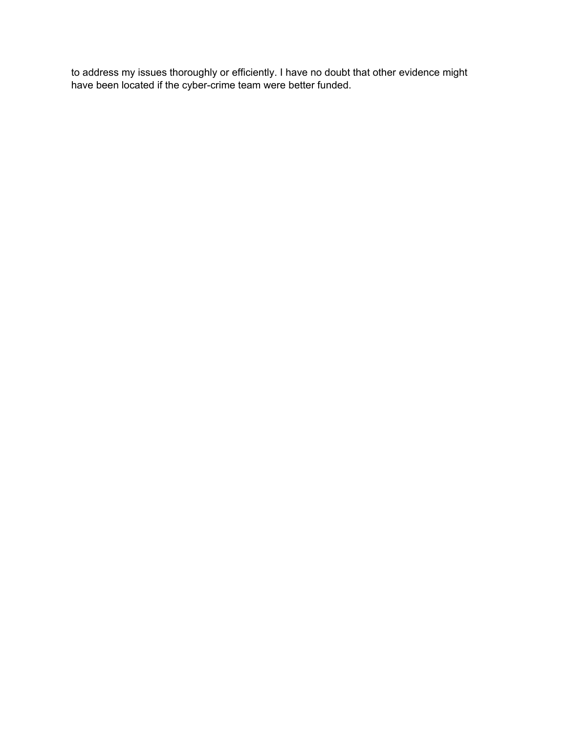to address my issues thoroughly or efficiently. I have no doubt that other evidence might have been located if the cyber-crime team were better funded.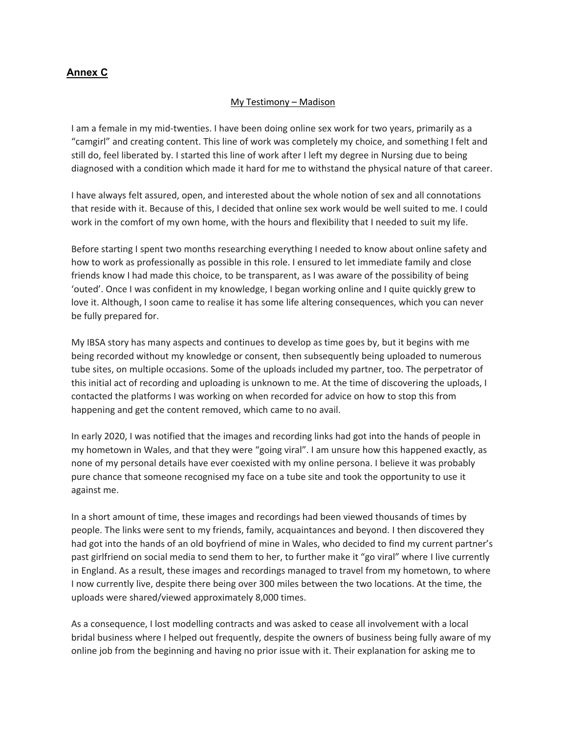#### **Annex C**

#### My Testimony – Madison

I am a female in my mid-twenties. I have been doing online sex work for two years, primarily as a "camgirl" and creating content. This line of work was completely my choice, and something I felt and still do, feel liberated by. I started this line of work after I left my degree in Nursing due to being diagnosed with a condition which made it hard for me to withstand the physical nature of that career.

I have always felt assured, open, and interested about the whole notion of sex and all connotations that reside with it. Because of this, I decided that online sex work would be well suited to me. I could work in the comfort of my own home, with the hours and flexibility that I needed to suit my life.

Before starting I spent two months researching everything I needed to know about online safety and how to work as professionally as possible in this role. I ensured to let immediate family and close friends know I had made this choice, to be transparent, as I was aware of the possibility of being 'outed'. Once I was confident in my knowledge, I began working online and I quite quickly grew to love it. Although, I soon came to realise it has some life altering consequences, which you can never be fully prepared for.

My IBSA story has many aspects and continues to develop as time goes by, but it begins with me being recorded without my knowledge or consent, then subsequently being uploaded to numerous tube sites, on multiple occasions. Some of the uploads included my partner, too. The perpetrator of this initial act of recording and uploading is unknown to me. At the time of discovering the uploads, I contacted the platforms I was working on when recorded for advice on how to stop this from happening and get the content removed, which came to no avail.

In early 2020, I was notified that the images and recording links had got into the hands of people in my hometown in Wales, and that they were "going viral". I am unsure how this happened exactly, as none of my personal details have ever coexisted with my online persona. I believe it was probably pure chance that someone recognised my face on a tube site and took the opportunity to use it against me.

In a short amount of time, these images and recordings had been viewed thousands of times by people. The links were sent to my friends, family, acquaintances and beyond. I then discovered they had got into the hands of an old boyfriend of mine in Wales, who decided to find my current partner's past girlfriend on social media to send them to her, to further make it "go viral" where I live currently in England. As a result, these images and recordings managed to travel from my hometown, to where I now currently live, despite there being over 300 miles between the two locations. At the time, the uploads were shared/viewed approximately 8,000 times.

As a consequence, I lost modelling contracts and was asked to cease all involvement with a local bridal business where I helped out frequently, despite the owners of business being fully aware of my online job from the beginning and having no prior issue with it. Their explanation for asking me to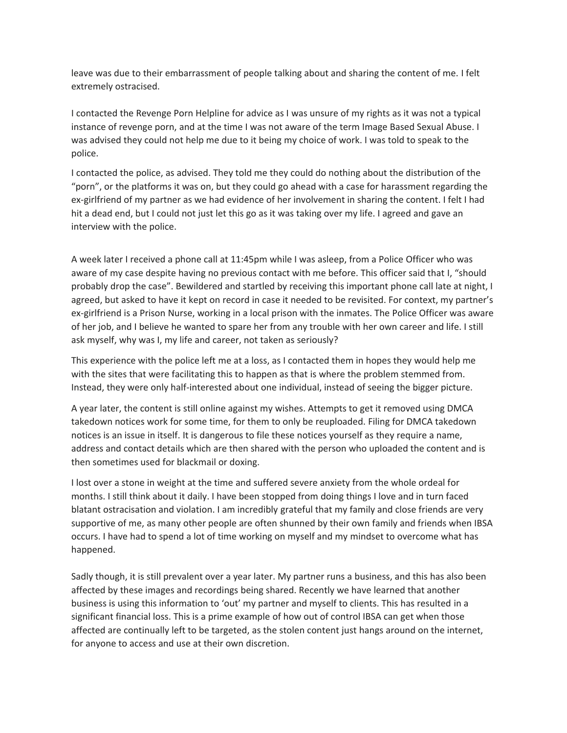leave was due to their embarrassment of people talking about and sharing the content of me. I felt extremely ostracised.

I contacted the Revenge Porn Helpline for advice as I was unsure of my rights as it was not a typical instance of revenge porn, and at the time I was not aware of the term Image Based Sexual Abuse. I was advised they could not help me due to it being my choice of work. I was told to speak to the police.

I contacted the police, as advised. They told me they could do nothing about the distribution of the "porn", or the platforms it was on, but they could go ahead with a case for harassment regarding the ex-girlfriend of my partner as we had evidence of her involvement in sharing the content. I felt I had hit a dead end, but I could not just let this go as it was taking over my life. I agreed and gave an interview with the police.

A week later I received a phone call at 11:45pm while I was asleep, from a Police Officer who was aware of my case despite having no previous contact with me before. This officer said that I, "should probably drop the case". Bewildered and startled by receiving this important phone call late at night, I agreed, but asked to have it kept on record in case it needed to be revisited. For context, my partner's ex-girlfriend is a Prison Nurse, working in a local prison with the inmates. The Police Officer was aware of her job, and I believe he wanted to spare her from any trouble with her own career and life. I still ask myself, why was I, my life and career, not taken as seriously?

This experience with the police left me at a loss, as I contacted them in hopes they would help me with the sites that were facilitating this to happen as that is where the problem stemmed from. Instead, they were only half-interested about one individual, instead of seeing the bigger picture.

A year later, the content is still online against my wishes. Attempts to get it removed using DMCA takedown notices work for some time, for them to only be reuploaded. Filing for DMCA takedown notices is an issue in itself. It is dangerous to file these notices yourself as they require a name, address and contact details which are then shared with the person who uploaded the content and is then sometimes used for blackmail or doxing.

I lost over a stone in weight at the time and suffered severe anxiety from the whole ordeal for months. I still think about it daily. I have been stopped from doing things I love and in turn faced blatant ostracisation and violation. I am incredibly grateful that my family and close friends are very supportive of me, as many other people are often shunned by their own family and friends when IBSA occurs. I have had to spend a lot of time working on myself and my mindset to overcome what has happened.

Sadly though, it is still prevalent over a year later. My partner runs a business, and this has also been affected by these images and recordings being shared. Recently we have learned that another business is using this information to 'out' my partner and myself to clients. This has resulted in a significant financial loss. This is a prime example of how out of control IBSA can get when those affected are continually left to be targeted, as the stolen content just hangs around on the internet, for anyone to access and use at their own discretion.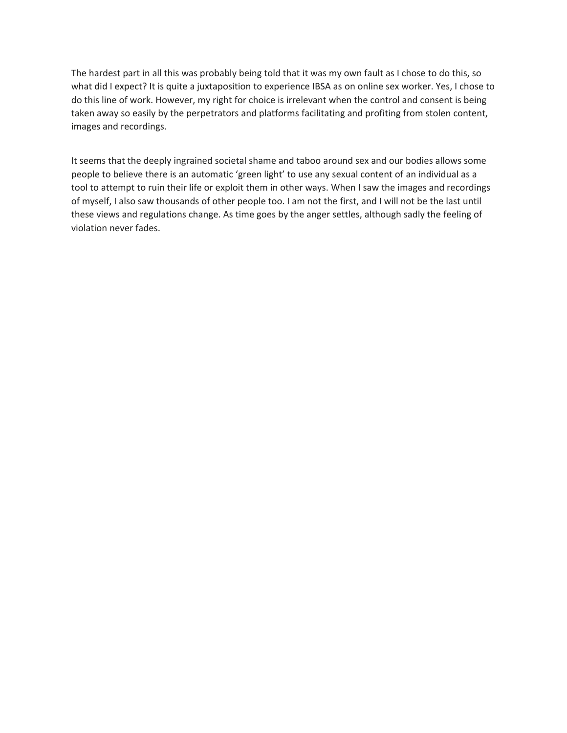The hardest part in all this was probably being told that it was my own fault as I chose to do this, so what did I expect? It is quite a juxtaposition to experience IBSA as on online sex worker. Yes, I chose to do this line of work. However, my right for choice is irrelevant when the control and consent is being taken away so easily by the perpetrators and platforms facilitating and profiting from stolen content, images and recordings.

It seems that the deeply ingrained societal shame and taboo around sex and our bodies allows some people to believe there is an automatic 'green light' to use any sexual content of an individual as a tool to attempt to ruin their life or exploit them in other ways. When I saw the images and recordings of myself, I also saw thousands of other people too. I am not the first, and I will not be the last until these views and regulations change. As time goes by the anger settles, although sadly the feeling of violation never fades.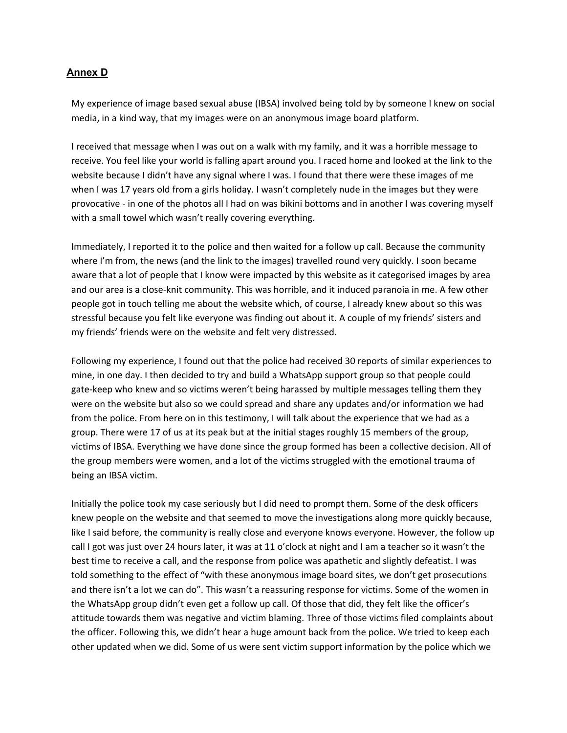#### **Annex D**

My experience of image based sexual abuse (IBSA) involved being told by by someone I knew on social media, in a kind way, that my images were on an anonymous image board platform.

I received that message when I was out on a walk with my family, and it was a horrible message to receive. You feel like your world is falling apart around you. I raced home and looked at the link to the website because I didn't have any signal where I was. I found that there were these images of me when I was 17 years old from a girls holiday. I wasn't completely nude in the images but they were provocative - in one of the photos all I had on was bikini bottoms and in another I was covering myself with a small towel which wasn't really covering everything.

Immediately, I reported it to the police and then waited for a follow up call. Because the community where I'm from, the news (and the link to the images) travelled round very quickly. I soon became aware that a lot of people that I know were impacted by this website as it categorised images by area and our area is a close-knit community. This was horrible, and it induced paranoia in me. A few other people got in touch telling me about the website which, of course, I already knew about so this was stressful because you felt like everyone was finding out about it. A couple of my friends' sisters and my friends' friends were on the website and felt very distressed.

Following my experience, I found out that the police had received 30 reports of similar experiences to mine, in one day. I then decided to try and build a WhatsApp support group so that people could gate-keep who knew and so victims weren't being harassed by multiple messages telling them they were on the website but also so we could spread and share any updates and/or information we had from the police. From here on in this testimony, I will talk about the experience that we had as a group. There were 17 of us at its peak but at the initial stages roughly 15 members of the group, victims of IBSA. Everything we have done since the group formed has been a collective decision. All of the group members were women, and a lot of the victims struggled with the emotional trauma of being an IBSA victim.

Initially the police took my case seriously but I did need to prompt them. Some of the desk officers knew people on the website and that seemed to move the investigations along more quickly because, like I said before, the community is really close and everyone knows everyone. However, the follow up call I got was just over 24 hours later, it was at 11 o'clock at night and I am a teacher so it wasn't the best time to receive a call, and the response from police was apathetic and slightly defeatist. I was told something to the effect of "with these anonymous image board sites, we don't get prosecutions and there isn't a lot we can do". This wasn't a reassuring response for victims. Some of the women in the WhatsApp group didn't even get a follow up call. Of those that did, they felt like the officer's attitude towards them was negative and victim blaming. Three of those victims filed complaints about the officer. Following this, we didn't hear a huge amount back from the police. We tried to keep each other updated when we did. Some of us were sent victim support information by the police which we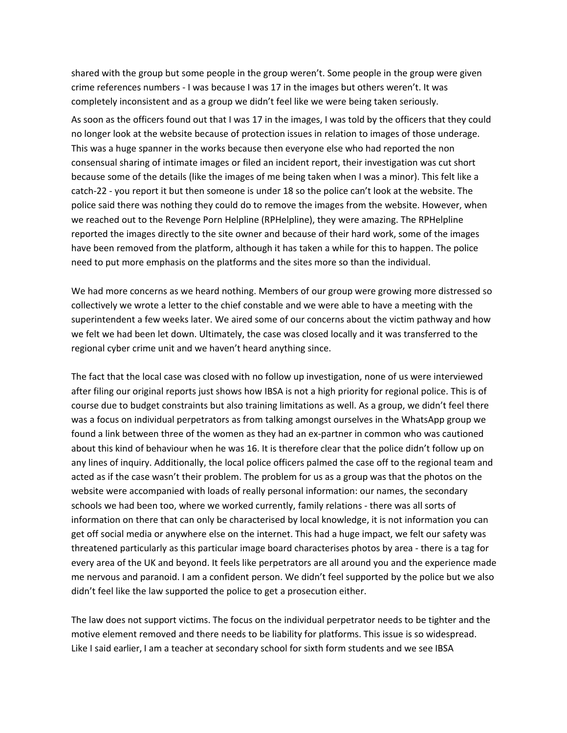shared with the group but some people in the group weren't. Some people in the group were given crime references numbers - I was because I was 17 in the images but others weren't. It was completely inconsistent and as a group we didn't feel like we were being taken seriously.

As soon as the officers found out that I was 17 in the images, I was told by the officers that they could no longer look at the website because of protection issues in relation to images of those underage. This was a huge spanner in the works because then everyone else who had reported the non consensual sharing of intimate images or filed an incident report, their investigation was cut short because some of the details (like the images of me being taken when I was a minor). This felt like a catch-22 - you report it but then someone is under 18 so the police can't look at the website. The police said there was nothing they could do to remove the images from the website. However, when we reached out to the Revenge Porn Helpline (RPHelpline), they were amazing. The RPHelpline reported the images directly to the site owner and because of their hard work, some of the images have been removed from the platform, although it has taken a while for this to happen. The police need to put more emphasis on the platforms and the sites more so than the individual.

We had more concerns as we heard nothing. Members of our group were growing more distressed so collectively we wrote a letter to the chief constable and we were able to have a meeting with the superintendent a few weeks later. We aired some of our concerns about the victim pathway and how we felt we had been let down. Ultimately, the case was closed locally and it was transferred to the regional cyber crime unit and we haven't heard anything since.

The fact that the local case was closed with no follow up investigation, none of us were interviewed after filing our original reports just shows how IBSA is not a high priority for regional police. This is of course due to budget constraints but also training limitations as well. As a group, we didn't feel there was a focus on individual perpetrators as from talking amongst ourselves in the WhatsApp group we found a link between three of the women as they had an ex-partner in common who was cautioned about this kind of behaviour when he was 16. It is therefore clear that the police didn't follow up on any lines of inquiry. Additionally, the local police officers palmed the case off to the regional team and acted as if the case wasn't their problem. The problem for us as a group was that the photos on the website were accompanied with loads of really personal information: our names, the secondary schools we had been too, where we worked currently, family relations - there was all sorts of information on there that can only be characterised by local knowledge, it is not information you can get off social media or anywhere else on the internet. This had a huge impact, we felt our safety was threatened particularly as this particular image board characterises photos by area - there is a tag for every area of the UK and beyond. It feels like perpetrators are all around you and the experience made me nervous and paranoid. I am a confident person. We didn't feel supported by the police but we also didn't feel like the law supported the police to get a prosecution either.

The law does not support victims. The focus on the individual perpetrator needs to be tighter and the motive element removed and there needs to be liability for platforms. This issue is so widespread. Like I said earlier, I am a teacher at secondary school for sixth form students and we see IBSA